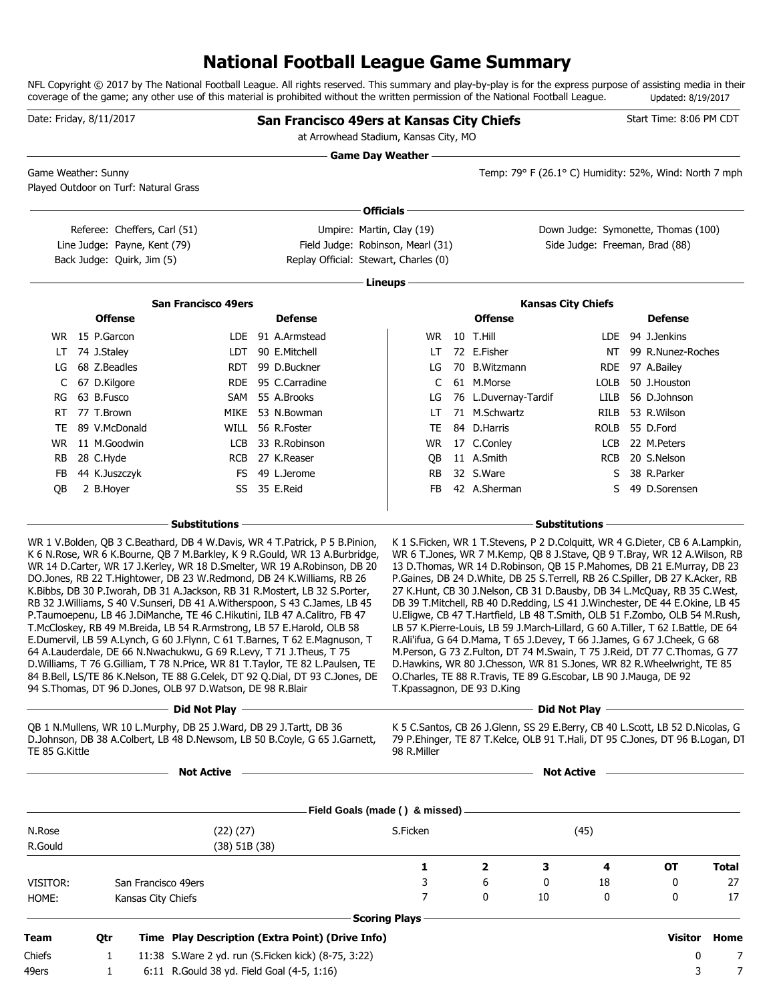## **National Football League Game Summary**

NFL Copyright © 2017 by The National Football League. All rights reserved. This summary and play-by-play is for the express purpose of assisting media in their coverage of the game; any other use of this material is prohibited without the written permission of the National Football League. Updated: 8/19/2017

| at Arrowhead Stadium, Kansas City, MO<br><b>Game Day Weather -</b><br>Temp: 79° F (26.1° C) Humidity: 52%, Wind: North 7 mph<br>Game Weather: Sunny<br>Played Outdoor on Turf: Natural Grass<br><b>Officials</b><br>Umpire: Martin, Clay (19)<br>Down Judge: Symonette, Thomas (100)<br>Referee: Cheffers, Carl (51)<br>Line Judge: Payne, Kent (79)<br>Field Judge: Robinson, Mearl (31)<br>Side Judge: Freeman, Brad (88)<br>Replay Official: Stewart, Charles (0)<br>Back Judge: Quirk, Jim (5)<br>Lineups<br><b>San Francisco 49ers</b><br><b>Kansas City Chiefs</b><br><b>Offense</b><br><b>Offense</b><br><b>Defense</b><br><b>Defense</b><br>WR 15 P.Garcon<br><b>WR 10 T.Hill</b><br>LDE 91 A.Armstead<br>LDE 94 J.Jenkins<br>LT 74 J.Staley<br>72 E.Fisher<br>LDT 90 E.Mitchell<br>NT 99 R.Nunez-Roches<br>LT.<br>LG 68 Z.Beadles<br>70 B.Witzmann<br>RDT 99 D.Buckner<br>LG<br>RDE 97 A.Bailey<br>61 M.Morse<br>67 D.Kilgore<br>RDE 95 C.Carradine<br>C<br>LOLB<br>50 J.Houston<br>C<br>63 B.Fusco<br>SAM 55 A.Brooks<br>56 D.Johnson<br>76 L.Duvernay-Tardif<br>RG<br>LG<br>LILB<br>77 T.Brown<br>71 M.Schwartz<br>RILB 53 R.Wilson<br>MIKE 53 N.Bowman<br>LT<br>RT<br>WILL 56 R.Foster<br>84 D.Harris<br>ROLB 55 D.Ford<br>TE<br>89 V.McDonald<br>TE<br>WR 11 M.Goodwin<br>LCB 33 R.Robinson<br>WR 17 C.Conley<br>LCB 22 M.Peters<br>28 C.Hyde<br>RCB 27 K.Reaser<br>11 A.Smith<br>RCB 20 S.Nelson<br>RB<br>QB<br>44 K.Juszczyk<br>FS 49 L.Jerome<br><b>RB</b><br>32 S.Ware<br>38 R.Parker<br>FB<br>S<br>SS 35 E.Reid<br>42 A.Sherman<br>49 D.Sorensen<br>QB<br>2 B.Hoyer<br>FB<br>S<br>- Substitutions<br><b>Substitutions</b><br>K 1 S. Ficken, WR 1 T. Stevens, P 2 D. Colquitt, WR 4 G. Dieter, CB 6 A. Lampkin,<br>WR 1 V.Bolden, QB 3 C.Beathard, DB 4 W.Davis, WR 4 T.Patrick, P 5 B.Pinion,<br>K 6 N.Rose, WR 6 K.Bourne, QB 7 M.Barkley, K 9 R.Gould, WR 13 A.Burbridge,<br>WR 6 T.Jones, WR 7 M.Kemp, QB 8 J.Stave, QB 9 T.Bray, WR 12 A.Wilson, RB<br>WR 14 D.Carter, WR 17 J.Kerley, WR 18 D.Smelter, WR 19 A.Robinson, DB 20<br>13 D. Thomas, WR 14 D. Robinson, QB 15 P. Mahomes, DB 21 E. Murray, DB 23<br>DO.Jones, RB 22 T.Hightower, DB 23 W.Redmond, DB 24 K.Williams, RB 26<br>P.Gaines, DB 24 D.White, DB 25 S.Terrell, RB 26 C.Spiller, DB 27 K.Acker, RB<br>K.Bibbs, DB 30 P.Iworah, DB 31 A.Jackson, RB 31 R.Mostert, LB 32 S.Porter,<br>27 K.Hunt, CB 30 J.Nelson, CB 31 D.Bausby, DB 34 L.McQuay, RB 35 C.West,<br>RB 32 J. Williams, S 40 V. Sunseri, DB 41 A. Witherspoon, S 43 C. James, LB 45<br>DB 39 T. Mitchell, RB 40 D. Redding, LS 41 J. Winchester, DE 44 E. Okine, LB 45<br>P.Taumoepenu, LB 46 J.DiManche, TE 46 C.Hikutini, ILB 47 A.Calitro, FB 47<br>U.Eligwe, CB 47 T.Hartfield, LB 48 T.Smith, OLB 51 F.Zombo, OLB 54 M.Rush,<br>T.McCloskey, RB 49 M.Breida, LB 54 R.Armstrong, LB 57 E.Harold, OLB 58<br>LB 57 K.Pierre-Louis, LB 59 J.March-Lillard, G 60 A.Tiller, T 62 I.Battle, DE 64<br>E.Dumervil, LB 59 A.Lynch, G 60 J.Flynn, C 61 T.Barnes, T 62 E.Magnuson, T<br>R.Ali'ifua, G 64 D.Mama, T 65 J.Devey, T 66 J.James, G 67 J.Cheek, G 68<br>64 A.Lauderdale, DE 66 N.Nwachukwu, G 69 R.Levy, T 71 J.Theus, T 75<br>M.Person, G 73 Z.Fulton, DT 74 M.Swain, T 75 J.Reid, DT 77 C.Thomas, G 77<br>D. Williams, T 76 G. Gilliam, T 78 N. Price, WR 81 T. Taylor, TE 82 L. Paulsen, TE<br>D.Hawkins, WR 80 J.Chesson, WR 81 S.Jones, WR 82 R.Wheelwright, TE 85<br>84 B.Bell, LS/TE 86 K.Nelson, TE 88 G.Celek, DT 92 Q.Dial, DT 93 C.Jones, DE O.Charles, TE 88 R.Travis, TE 89 G.Escobar, LB 90 J.Mauga, DE 92<br>94 S. Thomas, DT 96 D. Jones, OLB 97 D. Watson, DE 98 R. Blair<br>T.Kpassagnon, DE 93 D.King<br>Did Not Play <u>- Alexander Constant of Times and Times and Times and Times and Times and Times and Times and Times and Times and Times and Times and Times and Times and Times and Times and Times and Times and Times and Time</u><br><u>and Did Not Play and the Community of the Community of the Community of the Community of the Community of the Co</u><br>QB 1 N.Mullens, WR 10 L.Murphy, DB 25 J.Ward, DB 29 J.Tartt, DB 36<br>K 5 C.Santos, CB 26 J.Glenn, SS 29 E.Berry, CB 40 L.Scott, LB 52 D.Nicolas, G<br>D.Johnson, DB 38 A.Colbert, LB 48 D.Newsom, LB 50 B.Coyle, G 65 J.Garnett,<br>79 P.Ehinger, TE 87 T.Kelce, OLB 91 T.Hali, DT 95 C.Jones, DT 96 B.Logan, DT |        |
|--------------------------------------------------------------------------------------------------------------------------------------------------------------------------------------------------------------------------------------------------------------------------------------------------------------------------------------------------------------------------------------------------------------------------------------------------------------------------------------------------------------------------------------------------------------------------------------------------------------------------------------------------------------------------------------------------------------------------------------------------------------------------------------------------------------------------------------------------------------------------------------------------------------------------------------------------------------------------------------------------------------------------------------------------------------------------------------------------------------------------------------------------------------------------------------------------------------------------------------------------------------------------------------------------------------------------------------------------------------------------------------------------------------------------------------------------------------------------------------------------------------------------------------------------------------------------------------------------------------------------------------------------------------------------------------------------------------------------------------------------------------------------------------------------------------------------------------------------------------------------------------------------------------------------------------------------------------------------------------------------------------------------------------------------------------------------------------------------------------------------------------------------------------------------------------------------------------------------------------------------------------------------------------------------------------------------------------------------------------------------------------------------------------------------------------------------------------------------------------------------------------------------------------------------------------------------------------------------------------------------------------------------------------------------------------------------------------------------------------------------------------------------------------------------------------------------------------------------------------------------------------------------------------------------------------------------------------------------------------------------------------------------------------------------------------------------------------------------------------------------------------------------------------------------------------------------------------------------------------------------------------------------------------------------------------------------------------------------------------------------------------------------------------------------------------------------------------------------------------------------------------------------------------------------------------------------------------------------------------------------------------------------------------------------------------------------------------------------------------------------------------------------------------------------------------------------------------------------------------------------------------------------------------------------------------------------------------------------------------------------------------------------------------------------------------------------------------------------------------------------------------------------------------------------------------------------------------------------------------------------------------------------------------------------------------------------------------------------------------------------|--------|
|                                                                                                                                                                                                                                                                                                                                                                                                                                                                                                                                                                                                                                                                                                                                                                                                                                                                                                                                                                                                                                                                                                                                                                                                                                                                                                                                                                                                                                                                                                                                                                                                                                                                                                                                                                                                                                                                                                                                                                                                                                                                                                                                                                                                                                                                                                                                                                                                                                                                                                                                                                                                                                                                                                                                                                                                                                                                                                                                                                                                                                                                                                                                                                                                                                                                                                                                                                                                                                                                                                                                                                                                                                                                                                                                                                                                                                                                                                                                                                                                                                                                                                                                                                                                                                                                                                                                                                          |        |
|                                                                                                                                                                                                                                                                                                                                                                                                                                                                                                                                                                                                                                                                                                                                                                                                                                                                                                                                                                                                                                                                                                                                                                                                                                                                                                                                                                                                                                                                                                                                                                                                                                                                                                                                                                                                                                                                                                                                                                                                                                                                                                                                                                                                                                                                                                                                                                                                                                                                                                                                                                                                                                                                                                                                                                                                                                                                                                                                                                                                                                                                                                                                                                                                                                                                                                                                                                                                                                                                                                                                                                                                                                                                                                                                                                                                                                                                                                                                                                                                                                                                                                                                                                                                                                                                                                                                                                          |        |
|                                                                                                                                                                                                                                                                                                                                                                                                                                                                                                                                                                                                                                                                                                                                                                                                                                                                                                                                                                                                                                                                                                                                                                                                                                                                                                                                                                                                                                                                                                                                                                                                                                                                                                                                                                                                                                                                                                                                                                                                                                                                                                                                                                                                                                                                                                                                                                                                                                                                                                                                                                                                                                                                                                                                                                                                                                                                                                                                                                                                                                                                                                                                                                                                                                                                                                                                                                                                                                                                                                                                                                                                                                                                                                                                                                                                                                                                                                                                                                                                                                                                                                                                                                                                                                                                                                                                                                          |        |
|                                                                                                                                                                                                                                                                                                                                                                                                                                                                                                                                                                                                                                                                                                                                                                                                                                                                                                                                                                                                                                                                                                                                                                                                                                                                                                                                                                                                                                                                                                                                                                                                                                                                                                                                                                                                                                                                                                                                                                                                                                                                                                                                                                                                                                                                                                                                                                                                                                                                                                                                                                                                                                                                                                                                                                                                                                                                                                                                                                                                                                                                                                                                                                                                                                                                                                                                                                                                                                                                                                                                                                                                                                                                                                                                                                                                                                                                                                                                                                                                                                                                                                                                                                                                                                                                                                                                                                          |        |
|                                                                                                                                                                                                                                                                                                                                                                                                                                                                                                                                                                                                                                                                                                                                                                                                                                                                                                                                                                                                                                                                                                                                                                                                                                                                                                                                                                                                                                                                                                                                                                                                                                                                                                                                                                                                                                                                                                                                                                                                                                                                                                                                                                                                                                                                                                                                                                                                                                                                                                                                                                                                                                                                                                                                                                                                                                                                                                                                                                                                                                                                                                                                                                                                                                                                                                                                                                                                                                                                                                                                                                                                                                                                                                                                                                                                                                                                                                                                                                                                                                                                                                                                                                                                                                                                                                                                                                          |        |
|                                                                                                                                                                                                                                                                                                                                                                                                                                                                                                                                                                                                                                                                                                                                                                                                                                                                                                                                                                                                                                                                                                                                                                                                                                                                                                                                                                                                                                                                                                                                                                                                                                                                                                                                                                                                                                                                                                                                                                                                                                                                                                                                                                                                                                                                                                                                                                                                                                                                                                                                                                                                                                                                                                                                                                                                                                                                                                                                                                                                                                                                                                                                                                                                                                                                                                                                                                                                                                                                                                                                                                                                                                                                                                                                                                                                                                                                                                                                                                                                                                                                                                                                                                                                                                                                                                                                                                          |        |
|                                                                                                                                                                                                                                                                                                                                                                                                                                                                                                                                                                                                                                                                                                                                                                                                                                                                                                                                                                                                                                                                                                                                                                                                                                                                                                                                                                                                                                                                                                                                                                                                                                                                                                                                                                                                                                                                                                                                                                                                                                                                                                                                                                                                                                                                                                                                                                                                                                                                                                                                                                                                                                                                                                                                                                                                                                                                                                                                                                                                                                                                                                                                                                                                                                                                                                                                                                                                                                                                                                                                                                                                                                                                                                                                                                                                                                                                                                                                                                                                                                                                                                                                                                                                                                                                                                                                                                          |        |
|                                                                                                                                                                                                                                                                                                                                                                                                                                                                                                                                                                                                                                                                                                                                                                                                                                                                                                                                                                                                                                                                                                                                                                                                                                                                                                                                                                                                                                                                                                                                                                                                                                                                                                                                                                                                                                                                                                                                                                                                                                                                                                                                                                                                                                                                                                                                                                                                                                                                                                                                                                                                                                                                                                                                                                                                                                                                                                                                                                                                                                                                                                                                                                                                                                                                                                                                                                                                                                                                                                                                                                                                                                                                                                                                                                                                                                                                                                                                                                                                                                                                                                                                                                                                                                                                                                                                                                          |        |
|                                                                                                                                                                                                                                                                                                                                                                                                                                                                                                                                                                                                                                                                                                                                                                                                                                                                                                                                                                                                                                                                                                                                                                                                                                                                                                                                                                                                                                                                                                                                                                                                                                                                                                                                                                                                                                                                                                                                                                                                                                                                                                                                                                                                                                                                                                                                                                                                                                                                                                                                                                                                                                                                                                                                                                                                                                                                                                                                                                                                                                                                                                                                                                                                                                                                                                                                                                                                                                                                                                                                                                                                                                                                                                                                                                                                                                                                                                                                                                                                                                                                                                                                                                                                                                                                                                                                                                          |        |
|                                                                                                                                                                                                                                                                                                                                                                                                                                                                                                                                                                                                                                                                                                                                                                                                                                                                                                                                                                                                                                                                                                                                                                                                                                                                                                                                                                                                                                                                                                                                                                                                                                                                                                                                                                                                                                                                                                                                                                                                                                                                                                                                                                                                                                                                                                                                                                                                                                                                                                                                                                                                                                                                                                                                                                                                                                                                                                                                                                                                                                                                                                                                                                                                                                                                                                                                                                                                                                                                                                                                                                                                                                                                                                                                                                                                                                                                                                                                                                                                                                                                                                                                                                                                                                                                                                                                                                          |        |
|                                                                                                                                                                                                                                                                                                                                                                                                                                                                                                                                                                                                                                                                                                                                                                                                                                                                                                                                                                                                                                                                                                                                                                                                                                                                                                                                                                                                                                                                                                                                                                                                                                                                                                                                                                                                                                                                                                                                                                                                                                                                                                                                                                                                                                                                                                                                                                                                                                                                                                                                                                                                                                                                                                                                                                                                                                                                                                                                                                                                                                                                                                                                                                                                                                                                                                                                                                                                                                                                                                                                                                                                                                                                                                                                                                                                                                                                                                                                                                                                                                                                                                                                                                                                                                                                                                                                                                          |        |
|                                                                                                                                                                                                                                                                                                                                                                                                                                                                                                                                                                                                                                                                                                                                                                                                                                                                                                                                                                                                                                                                                                                                                                                                                                                                                                                                                                                                                                                                                                                                                                                                                                                                                                                                                                                                                                                                                                                                                                                                                                                                                                                                                                                                                                                                                                                                                                                                                                                                                                                                                                                                                                                                                                                                                                                                                                                                                                                                                                                                                                                                                                                                                                                                                                                                                                                                                                                                                                                                                                                                                                                                                                                                                                                                                                                                                                                                                                                                                                                                                                                                                                                                                                                                                                                                                                                                                                          |        |
|                                                                                                                                                                                                                                                                                                                                                                                                                                                                                                                                                                                                                                                                                                                                                                                                                                                                                                                                                                                                                                                                                                                                                                                                                                                                                                                                                                                                                                                                                                                                                                                                                                                                                                                                                                                                                                                                                                                                                                                                                                                                                                                                                                                                                                                                                                                                                                                                                                                                                                                                                                                                                                                                                                                                                                                                                                                                                                                                                                                                                                                                                                                                                                                                                                                                                                                                                                                                                                                                                                                                                                                                                                                                                                                                                                                                                                                                                                                                                                                                                                                                                                                                                                                                                                                                                                                                                                          |        |
|                                                                                                                                                                                                                                                                                                                                                                                                                                                                                                                                                                                                                                                                                                                                                                                                                                                                                                                                                                                                                                                                                                                                                                                                                                                                                                                                                                                                                                                                                                                                                                                                                                                                                                                                                                                                                                                                                                                                                                                                                                                                                                                                                                                                                                                                                                                                                                                                                                                                                                                                                                                                                                                                                                                                                                                                                                                                                                                                                                                                                                                                                                                                                                                                                                                                                                                                                                                                                                                                                                                                                                                                                                                                                                                                                                                                                                                                                                                                                                                                                                                                                                                                                                                                                                                                                                                                                                          |        |
|                                                                                                                                                                                                                                                                                                                                                                                                                                                                                                                                                                                                                                                                                                                                                                                                                                                                                                                                                                                                                                                                                                                                                                                                                                                                                                                                                                                                                                                                                                                                                                                                                                                                                                                                                                                                                                                                                                                                                                                                                                                                                                                                                                                                                                                                                                                                                                                                                                                                                                                                                                                                                                                                                                                                                                                                                                                                                                                                                                                                                                                                                                                                                                                                                                                                                                                                                                                                                                                                                                                                                                                                                                                                                                                                                                                                                                                                                                                                                                                                                                                                                                                                                                                                                                                                                                                                                                          |        |
|                                                                                                                                                                                                                                                                                                                                                                                                                                                                                                                                                                                                                                                                                                                                                                                                                                                                                                                                                                                                                                                                                                                                                                                                                                                                                                                                                                                                                                                                                                                                                                                                                                                                                                                                                                                                                                                                                                                                                                                                                                                                                                                                                                                                                                                                                                                                                                                                                                                                                                                                                                                                                                                                                                                                                                                                                                                                                                                                                                                                                                                                                                                                                                                                                                                                                                                                                                                                                                                                                                                                                                                                                                                                                                                                                                                                                                                                                                                                                                                                                                                                                                                                                                                                                                                                                                                                                                          |        |
|                                                                                                                                                                                                                                                                                                                                                                                                                                                                                                                                                                                                                                                                                                                                                                                                                                                                                                                                                                                                                                                                                                                                                                                                                                                                                                                                                                                                                                                                                                                                                                                                                                                                                                                                                                                                                                                                                                                                                                                                                                                                                                                                                                                                                                                                                                                                                                                                                                                                                                                                                                                                                                                                                                                                                                                                                                                                                                                                                                                                                                                                                                                                                                                                                                                                                                                                                                                                                                                                                                                                                                                                                                                                                                                                                                                                                                                                                                                                                                                                                                                                                                                                                                                                                                                                                                                                                                          |        |
|                                                                                                                                                                                                                                                                                                                                                                                                                                                                                                                                                                                                                                                                                                                                                                                                                                                                                                                                                                                                                                                                                                                                                                                                                                                                                                                                                                                                                                                                                                                                                                                                                                                                                                                                                                                                                                                                                                                                                                                                                                                                                                                                                                                                                                                                                                                                                                                                                                                                                                                                                                                                                                                                                                                                                                                                                                                                                                                                                                                                                                                                                                                                                                                                                                                                                                                                                                                                                                                                                                                                                                                                                                                                                                                                                                                                                                                                                                                                                                                                                                                                                                                                                                                                                                                                                                                                                                          |        |
|                                                                                                                                                                                                                                                                                                                                                                                                                                                                                                                                                                                                                                                                                                                                                                                                                                                                                                                                                                                                                                                                                                                                                                                                                                                                                                                                                                                                                                                                                                                                                                                                                                                                                                                                                                                                                                                                                                                                                                                                                                                                                                                                                                                                                                                                                                                                                                                                                                                                                                                                                                                                                                                                                                                                                                                                                                                                                                                                                                                                                                                                                                                                                                                                                                                                                                                                                                                                                                                                                                                                                                                                                                                                                                                                                                                                                                                                                                                                                                                                                                                                                                                                                                                                                                                                                                                                                                          |        |
|                                                                                                                                                                                                                                                                                                                                                                                                                                                                                                                                                                                                                                                                                                                                                                                                                                                                                                                                                                                                                                                                                                                                                                                                                                                                                                                                                                                                                                                                                                                                                                                                                                                                                                                                                                                                                                                                                                                                                                                                                                                                                                                                                                                                                                                                                                                                                                                                                                                                                                                                                                                                                                                                                                                                                                                                                                                                                                                                                                                                                                                                                                                                                                                                                                                                                                                                                                                                                                                                                                                                                                                                                                                                                                                                                                                                                                                                                                                                                                                                                                                                                                                                                                                                                                                                                                                                                                          |        |
|                                                                                                                                                                                                                                                                                                                                                                                                                                                                                                                                                                                                                                                                                                                                                                                                                                                                                                                                                                                                                                                                                                                                                                                                                                                                                                                                                                                                                                                                                                                                                                                                                                                                                                                                                                                                                                                                                                                                                                                                                                                                                                                                                                                                                                                                                                                                                                                                                                                                                                                                                                                                                                                                                                                                                                                                                                                                                                                                                                                                                                                                                                                                                                                                                                                                                                                                                                                                                                                                                                                                                                                                                                                                                                                                                                                                                                                                                                                                                                                                                                                                                                                                                                                                                                                                                                                                                                          |        |
|                                                                                                                                                                                                                                                                                                                                                                                                                                                                                                                                                                                                                                                                                                                                                                                                                                                                                                                                                                                                                                                                                                                                                                                                                                                                                                                                                                                                                                                                                                                                                                                                                                                                                                                                                                                                                                                                                                                                                                                                                                                                                                                                                                                                                                                                                                                                                                                                                                                                                                                                                                                                                                                                                                                                                                                                                                                                                                                                                                                                                                                                                                                                                                                                                                                                                                                                                                                                                                                                                                                                                                                                                                                                                                                                                                                                                                                                                                                                                                                                                                                                                                                                                                                                                                                                                                                                                                          |        |
|                                                                                                                                                                                                                                                                                                                                                                                                                                                                                                                                                                                                                                                                                                                                                                                                                                                                                                                                                                                                                                                                                                                                                                                                                                                                                                                                                                                                                                                                                                                                                                                                                                                                                                                                                                                                                                                                                                                                                                                                                                                                                                                                                                                                                                                                                                                                                                                                                                                                                                                                                                                                                                                                                                                                                                                                                                                                                                                                                                                                                                                                                                                                                                                                                                                                                                                                                                                                                                                                                                                                                                                                                                                                                                                                                                                                                                                                                                                                                                                                                                                                                                                                                                                                                                                                                                                                                                          |        |
| TE 85 G.Kittle<br>98 R.Miller                                                                                                                                                                                                                                                                                                                                                                                                                                                                                                                                                                                                                                                                                                                                                                                                                                                                                                                                                                                                                                                                                                                                                                                                                                                                                                                                                                                                                                                                                                                                                                                                                                                                                                                                                                                                                                                                                                                                                                                                                                                                                                                                                                                                                                                                                                                                                                                                                                                                                                                                                                                                                                                                                                                                                                                                                                                                                                                                                                                                                                                                                                                                                                                                                                                                                                                                                                                                                                                                                                                                                                                                                                                                                                                                                                                                                                                                                                                                                                                                                                                                                                                                                                                                                                                                                                                                            |        |
| Not Active <b>Constant Construction Constant Constant Constant Constant Constant Constant Constant Constant Constant Constant Constant Constant Constant Constant Constant Constant Constant Constant Constant Constant Constant</b><br>Not Active <b>Constant Construction</b>                                                                                                                                                                                                                                                                                                                                                                                                                                                                                                                                                                                                                                                                                                                                                                                                                                                                                                                                                                                                                                                                                                                                                                                                                                                                                                                                                                                                                                                                                                                                                                                                                                                                                                                                                                                                                                                                                                                                                                                                                                                                                                                                                                                                                                                                                                                                                                                                                                                                                                                                                                                                                                                                                                                                                                                                                                                                                                                                                                                                                                                                                                                                                                                                                                                                                                                                                                                                                                                                                                                                                                                                                                                                                                                                                                                                                                                                                                                                                                                                                                                                                          |        |
|                                                                                                                                                                                                                                                                                                                                                                                                                                                                                                                                                                                                                                                                                                                                                                                                                                                                                                                                                                                                                                                                                                                                                                                                                                                                                                                                                                                                                                                                                                                                                                                                                                                                                                                                                                                                                                                                                                                                                                                                                                                                                                                                                                                                                                                                                                                                                                                                                                                                                                                                                                                                                                                                                                                                                                                                                                                                                                                                                                                                                                                                                                                                                                                                                                                                                                                                                                                                                                                                                                                                                                                                                                                                                                                                                                                                                                                                                                                                                                                                                                                                                                                                                                                                                                                                                                                                                                          |        |
| (45)<br>(22)(27)<br>S.Ficken<br>N.Rose                                                                                                                                                                                                                                                                                                                                                                                                                                                                                                                                                                                                                                                                                                                                                                                                                                                                                                                                                                                                                                                                                                                                                                                                                                                                                                                                                                                                                                                                                                                                                                                                                                                                                                                                                                                                                                                                                                                                                                                                                                                                                                                                                                                                                                                                                                                                                                                                                                                                                                                                                                                                                                                                                                                                                                                                                                                                                                                                                                                                                                                                                                                                                                                                                                                                                                                                                                                                                                                                                                                                                                                                                                                                                                                                                                                                                                                                                                                                                                                                                                                                                                                                                                                                                                                                                                                                   |        |
| R.Gould<br>$(38)$ 51B $(38)$                                                                                                                                                                                                                                                                                                                                                                                                                                                                                                                                                                                                                                                                                                                                                                                                                                                                                                                                                                                                                                                                                                                                                                                                                                                                                                                                                                                                                                                                                                                                                                                                                                                                                                                                                                                                                                                                                                                                                                                                                                                                                                                                                                                                                                                                                                                                                                                                                                                                                                                                                                                                                                                                                                                                                                                                                                                                                                                                                                                                                                                                                                                                                                                                                                                                                                                                                                                                                                                                                                                                                                                                                                                                                                                                                                                                                                                                                                                                                                                                                                                                                                                                                                                                                                                                                                                                             |        |
| $\mathbf{2}$<br>з<br>4<br><b>OT</b><br>1                                                                                                                                                                                                                                                                                                                                                                                                                                                                                                                                                                                                                                                                                                                                                                                                                                                                                                                                                                                                                                                                                                                                                                                                                                                                                                                                                                                                                                                                                                                                                                                                                                                                                                                                                                                                                                                                                                                                                                                                                                                                                                                                                                                                                                                                                                                                                                                                                                                                                                                                                                                                                                                                                                                                                                                                                                                                                                                                                                                                                                                                                                                                                                                                                                                                                                                                                                                                                                                                                                                                                                                                                                                                                                                                                                                                                                                                                                                                                                                                                                                                                                                                                                                                                                                                                                                                 | Total  |
| 3<br>6<br>18<br>0<br>0<br>VISITOR:<br>San Francisco 49ers                                                                                                                                                                                                                                                                                                                                                                                                                                                                                                                                                                                                                                                                                                                                                                                                                                                                                                                                                                                                                                                                                                                                                                                                                                                                                                                                                                                                                                                                                                                                                                                                                                                                                                                                                                                                                                                                                                                                                                                                                                                                                                                                                                                                                                                                                                                                                                                                                                                                                                                                                                                                                                                                                                                                                                                                                                                                                                                                                                                                                                                                                                                                                                                                                                                                                                                                                                                                                                                                                                                                                                                                                                                                                                                                                                                                                                                                                                                                                                                                                                                                                                                                                                                                                                                                                                                | 27     |
| 7<br>0<br>10<br>0<br>0<br>HOME:<br>Kansas City Chiefs                                                                                                                                                                                                                                                                                                                                                                                                                                                                                                                                                                                                                                                                                                                                                                                                                                                                                                                                                                                                                                                                                                                                                                                                                                                                                                                                                                                                                                                                                                                                                                                                                                                                                                                                                                                                                                                                                                                                                                                                                                                                                                                                                                                                                                                                                                                                                                                                                                                                                                                                                                                                                                                                                                                                                                                                                                                                                                                                                                                                                                                                                                                                                                                                                                                                                                                                                                                                                                                                                                                                                                                                                                                                                                                                                                                                                                                                                                                                                                                                                                                                                                                                                                                                                                                                                                                    | 17     |
| - Scoring Plays -                                                                                                                                                                                                                                                                                                                                                                                                                                                                                                                                                                                                                                                                                                                                                                                                                                                                                                                                                                                                                                                                                                                                                                                                                                                                                                                                                                                                                                                                                                                                                                                                                                                                                                                                                                                                                                                                                                                                                                                                                                                                                                                                                                                                                                                                                                                                                                                                                                                                                                                                                                                                                                                                                                                                                                                                                                                                                                                                                                                                                                                                                                                                                                                                                                                                                                                                                                                                                                                                                                                                                                                                                                                                                                                                                                                                                                                                                                                                                                                                                                                                                                                                                                                                                                                                                                                                                        |        |
| Time Play Description (Extra Point) (Drive Info)<br>Visitor<br>Team<br>Qtr                                                                                                                                                                                                                                                                                                                                                                                                                                                                                                                                                                                                                                                                                                                                                                                                                                                                                                                                                                                                                                                                                                                                                                                                                                                                                                                                                                                                                                                                                                                                                                                                                                                                                                                                                                                                                                                                                                                                                                                                                                                                                                                                                                                                                                                                                                                                                                                                                                                                                                                                                                                                                                                                                                                                                                                                                                                                                                                                                                                                                                                                                                                                                                                                                                                                                                                                                                                                                                                                                                                                                                                                                                                                                                                                                                                                                                                                                                                                                                                                                                                                                                                                                                                                                                                                                               | Home   |
| Chiefs<br>11:38 S. Ware 2 yd. run (S. Ficken kick) (8-75, 3:22)<br>1                                                                                                                                                                                                                                                                                                                                                                                                                                                                                                                                                                                                                                                                                                                                                                                                                                                                                                                                                                                                                                                                                                                                                                                                                                                                                                                                                                                                                                                                                                                                                                                                                                                                                                                                                                                                                                                                                                                                                                                                                                                                                                                                                                                                                                                                                                                                                                                                                                                                                                                                                                                                                                                                                                                                                                                                                                                                                                                                                                                                                                                                                                                                                                                                                                                                                                                                                                                                                                                                                                                                                                                                                                                                                                                                                                                                                                                                                                                                                                                                                                                                                                                                                                                                                                                                                                     | 0<br>7 |
| 6:11 R.Gould 38 yd. Field Goal (4-5, 1:16)<br>49ers<br>1                                                                                                                                                                                                                                                                                                                                                                                                                                                                                                                                                                                                                                                                                                                                                                                                                                                                                                                                                                                                                                                                                                                                                                                                                                                                                                                                                                                                                                                                                                                                                                                                                                                                                                                                                                                                                                                                                                                                                                                                                                                                                                                                                                                                                                                                                                                                                                                                                                                                                                                                                                                                                                                                                                                                                                                                                                                                                                                                                                                                                                                                                                                                                                                                                                                                                                                                                                                                                                                                                                                                                                                                                                                                                                                                                                                                                                                                                                                                                                                                                                                                                                                                                                                                                                                                                                                 | 3<br>7 |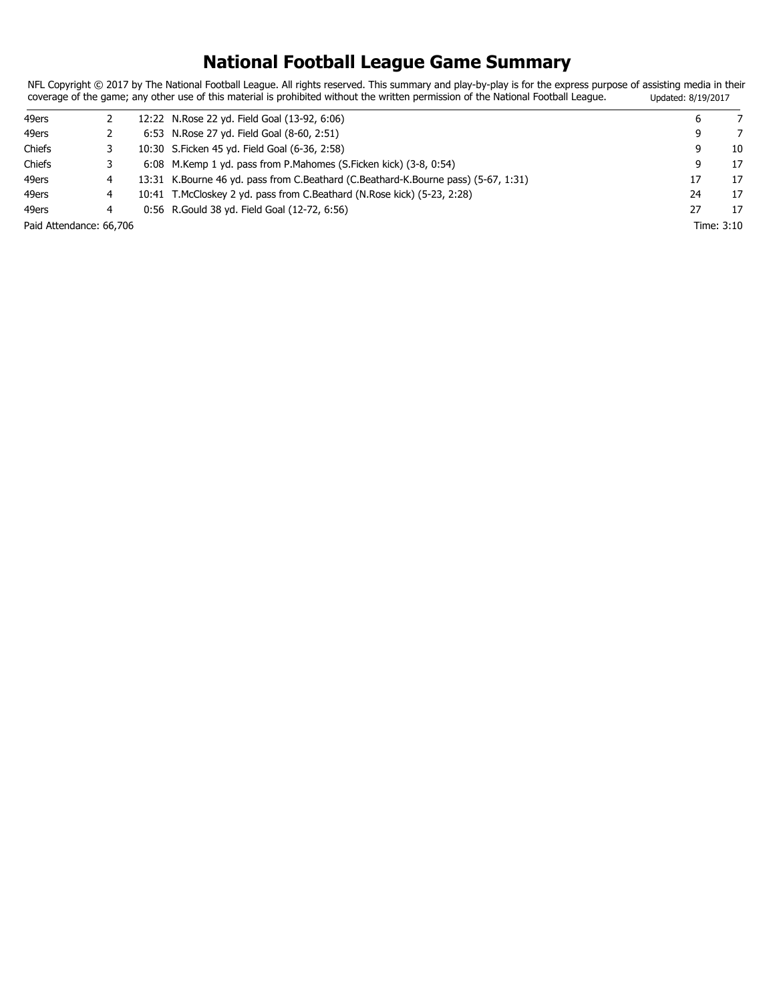## **National Football League Game Summary**

NFL Copyright © 2017 by The National Football League. All rights reserved. This summary and play-by-play is for the express purpose of assisting media in their coverage of the game; any other use of this material is prohibited without the written permission of the National Football League. Updated: 8/19/2017

| 49ers                   |   | 12:22 N.Rose 22 yd. Field Goal (13-92, 6:06)                                       |    |            |
|-------------------------|---|------------------------------------------------------------------------------------|----|------------|
| 49ers                   |   | 6:53 N.Rose 27 yd. Field Goal (8-60, 2:51)                                         | 9  |            |
| Chiefs                  |   | 10:30 S. Ficken 45 yd. Field Goal (6-36, 2:58)                                     | 9  | 10         |
| Chiefs                  |   | 6:08 M.Kemp 1 yd. pass from P.Mahomes (S.Ficken kick) (3-8, 0:54)                  |    | 17         |
| 49ers                   |   | 13:31 K.Bourne 46 yd. pass from C.Beathard (C.Beathard-K.Bourne pass) (5-67, 1:31) | 17 | 17         |
| 49ers                   |   | 10:41 T.McCloskey 2 yd. pass from C.Beathard (N.Rose kick) (5-23, 2:28)            | 24 | 17         |
| 49ers                   | 4 | 0:56 R. Gould 38 yd. Field Goal (12-72, 6:56)                                      | 27 | 17         |
| Paid Attendance: 66,706 |   |                                                                                    |    | Time: 3:10 |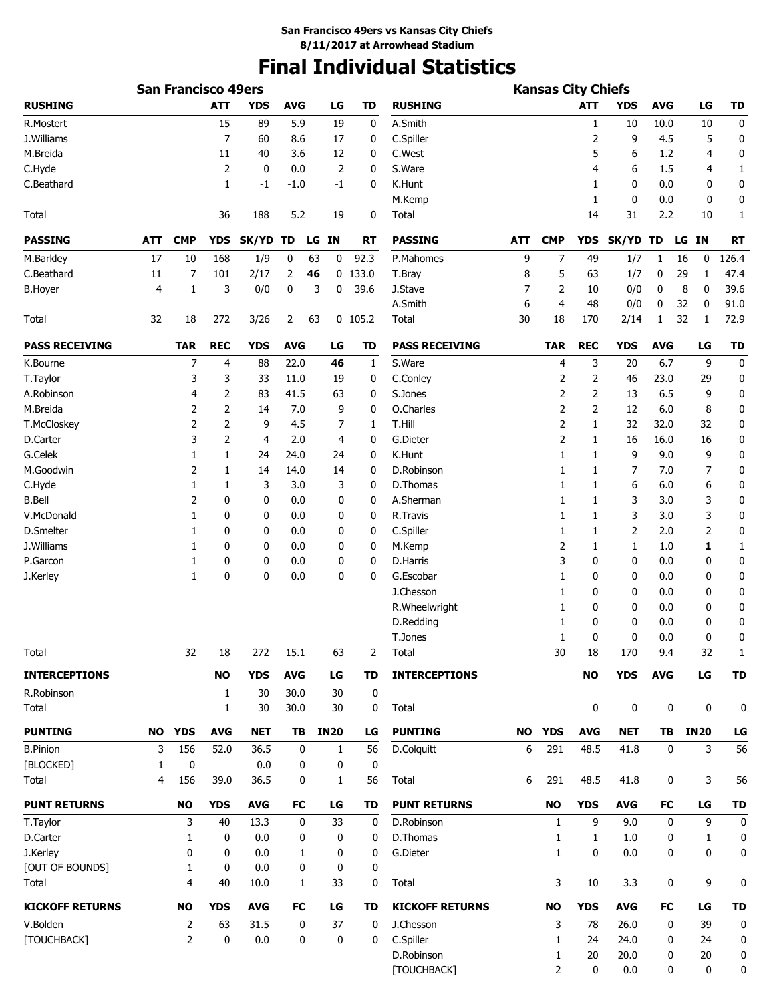# **Final Individual Statistics**

|                        | <b>San Francisco 49ers</b> |                |              |            |            |    |             |           |                        |     |                |              |              |             |             |           |
|------------------------|----------------------------|----------------|--------------|------------|------------|----|-------------|-----------|------------------------|-----|----------------|--------------|--------------|-------------|-------------|-----------|
| <b>RUSHING</b>         |                            |                | <b>ATT</b>   | <b>YDS</b> | <b>AVG</b> |    | LG          | <b>TD</b> | <b>RUSHING</b>         |     |                | <b>ATT</b>   | <b>YDS</b>   | <b>AVG</b>  | LG          | <b>TD</b> |
| R.Mostert              |                            |                | 15           | 89         | 5.9        |    | 19          | 0         | A.Smith                |     |                | 1            | 10           | 10.0        | 10          | 0         |
| J.Williams             |                            |                | 7            | 60         | 8.6        |    | 17          | 0         | C.Spiller              |     |                | 2            | 9            | 4.5         | 5           | 0         |
| M.Breida               |                            |                | 11           | 40         | 3.6        |    | 12          | 0         | C.West                 |     |                | 5            | 6            | 1.2         | 4           | 0         |
| C.Hyde                 |                            |                | 2            | 0          | 0.0        |    | 2           | 0         | S.Ware                 |     |                | 4            | 6            | 1.5         | 4           | 1         |
| C.Beathard             |                            |                | 1            | -1         | $-1.0$     |    | -1          | 0         | K.Hunt                 |     |                | 1            | 0            | 0.0         | 0           | 0         |
|                        |                            |                |              |            |            |    |             |           | M.Kemp                 |     |                | 1            | 0            | 0.0         | 0           | 0         |
| Total                  |                            |                | 36           | 188        | 5.2        |    | 19          | 0         | Total                  |     |                | 14           | 31           | 2.2         | 10          | 1         |
| <b>PASSING</b>         | ATT                        | <b>CMP</b>     | <b>YDS</b>   | SK/YD TD   |            |    | LG IN       | <b>RT</b> | <b>PASSING</b>         | ATT | <b>CMP</b>     | YDS          | <b>SK/YD</b> | TD          | LG IN       | <b>RT</b> |
| M.Barkley              | 17                         | 10             | 168          | 1/9        | 0          | 63 | 0           | 92.3      | P.Mahomes              | 9   | 7              | 49           | 1/7          | 1           | 0<br>16     | 126.4     |
| C.Beathard             | 11                         | 7              | 101          | 2/17       | 2          | 46 |             | $0$ 133.0 | T.Bray                 | 8   | 5              | 63           | 1/7          | 0           | 29<br>1     | 47.4      |
| <b>B.Hoyer</b>         | 4                          | 1              | 3            | 0/0        | 0          | 3  | 0           | 39.6      | J.Stave                | 7   | 2              | 10           | 0/0          | 0           | 8<br>0      | 39.6      |
|                        |                            |                |              |            |            |    |             |           | A.Smith                | 6   | 4              | 48           | 0/0          | 0           | 32<br>0     | 91.0      |
| Total                  | 32                         | 18             | 272          | 3/26       | 2          | 63 |             | $0$ 105.2 | Total                  | 30  | 18             | 170          | 2/14         | 1           | 32<br>1     | 72.9      |
| <b>PASS RECEIVING</b>  |                            | <b>TAR</b>     | <b>REC</b>   | <b>YDS</b> | <b>AVG</b> |    | LG          | TD        | <b>PASS RECEIVING</b>  |     | <b>TAR</b>     | <b>REC</b>   | <b>YDS</b>   | <b>AVG</b>  | LG          | TD        |
| K.Bourne               |                            | 7              | 4            | 88         | 22.0       |    | 46          | 1         | S.Ware                 |     | 4              | 3            | 20           | 6.7         | 9           | 0         |
| T.Taylor               |                            | 3              | 3            | 33         | 11.0       |    | 19          | 0         | C.Conley               |     | 2              | 2            | 46           | 23.0        | 29          | 0         |
| A.Robinson             |                            | 4              | 2            | 83         | 41.5       |    | 63          | 0         | S.Jones                |     | 2              | 2            | 13           | 6.5         | 9           | 0         |
| M.Breida               |                            | 2              | 2            | 14         | 7.0        |    | 9           | 0         | O.Charles              |     | 2              | 2            | 12           | 6.0         | 8           | 0         |
| T.McCloskey            |                            | 2              | 2            | 9          | 4.5        |    | 7           | 1         | T.Hill                 |     | 2              | 1            | 32           | 32.0        | 32          | 0         |
| D.Carter               |                            | 3              | 2            | 4          | 2.0        |    | 4           | 0         | G.Dieter               |     | 2              | 1            | 16           | 16.0        | 16          | 0         |
| G.Celek                |                            | 1              | 1            | 24         | 24.0       |    | 24          | 0         | K.Hunt                 |     | 1              | 1            | 9            | 9.0         | 9           | 0         |
| M.Goodwin              |                            | 2              | 1            | 14         | 14.0       |    | 14          | 0         | D.Robinson             |     | 1              | 1            | 7            | 7.0         | 7           | 0         |
| C.Hyde                 |                            | 1              | 1            | 3          | 3.0        |    | 3           | 0         | D.Thomas               |     | 1              | 1            | 6            | 6.0         | 6           | 0         |
| <b>B.Bell</b>          |                            | 2              | 0            | 0          | 0.0        |    | 0           | 0         | A.Sherman              |     | 1              | 1            | 3            | 3.0         | 3           | 0         |
| V.McDonald             |                            | 1              | 0            | 0          | 0.0        |    | 0           | 0         | R.Travis               |     | 1              | 1            | 3            | 3.0         | 3           | 0         |
| D.Smelter              |                            | 1              | 0            | 0          | 0.0        |    | 0           | 0         | C.Spiller              |     | 1              | 1            | 2            | 2.0         | 2           | 0         |
| J.Williams             |                            | 1              | 0            | 0          | 0.0        |    | 0           | 0         | M.Kemp                 |     | 2              | 1            | 1            | 1.0         | 1           | 1         |
| P.Garcon               |                            | 1              | 0            | 0          | 0.0        |    | 0           | 0         | D.Harris               |     | 3              | 0            | 0            | 0.0         | 0           | 0         |
| J.Kerley               |                            | 1              | 0            | 0          | 0.0        |    | 0           | 0         | G.Escobar              |     | 1              | 0            | 0            | 0.0         | 0           | 0         |
|                        |                            |                |              |            |            |    |             |           | J.Chesson              |     | 1              | 0            | 0            | 0.0         | 0           | 0         |
|                        |                            |                |              |            |            |    |             |           | R. Wheelwright         |     | 1              | 0            | 0            | 0.0         | 0           | 0         |
|                        |                            |                |              |            |            |    |             |           | D.Redding              |     | 1              | 0            | 0            | 0.0         | 0           | 0         |
|                        |                            |                |              |            |            |    |             |           | T.Jones                |     | 1              | 0            | 0            | 0.0         | 0           | 0         |
| Total                  |                            | 32             | 18           | 272        | 15.1       |    | 63          | 2         | Total                  |     | 30             | 18           | 170          | 9.4         | 32          | 1         |
| <b>INTERCEPTIONS</b>   |                            |                | <b>NO</b>    | <b>YDS</b> | <b>AVG</b> |    | LG          | <b>TD</b> | <b>INTERCEPTIONS</b>   |     |                | <b>NO</b>    | <b>YDS</b>   | <b>AVG</b>  | LG          | TD        |
| R.Robinson             |                            |                | $\mathbf{1}$ | 30         | 30.0       |    | 30          | 0         |                        |     |                |              |              |             |             |           |
| Total                  |                            |                | 1            | 30         | 30.0       |    | 30          | 0         | Total                  |     |                | 0            | 0            | 0           | 0           | 0         |
| <b>PUNTING</b>         | <b>NO</b>                  | <b>YDS</b>     | <b>AVG</b>   | <b>NET</b> | TB         |    | <b>IN20</b> | LG        | <b>PUNTING</b>         | NO  | <b>YDS</b>     | <b>AVG</b>   | <b>NET</b>   | ΤB          | <b>IN20</b> | LG        |
| <b>B.Pinion</b>        | 3                          | 156            | 52.0         | 36.5       |            | 0  | 1           | 56        | D.Colquitt             | 6   | 291            | 48.5         | 41.8         | 0           | 3           | 56        |
| [BLOCKED]              | 1                          | 0              |              | 0.0        |            | 0  | 0           | 0         |                        |     |                |              |              |             |             |           |
| Total                  | 4                          | 156            | 39.0         | 36.5       |            | 0  | 1           | 56        | Total                  | 6   | 291            | 48.5         | 41.8         | 0           | 3           | 56        |
| <b>PUNT RETURNS</b>    |                            | <b>NO</b>      | <b>YDS</b>   | <b>AVG</b> | FC         |    | LG          | <b>TD</b> | <b>PUNT RETURNS</b>    |     | <b>NO</b>      | <b>YDS</b>   | <b>AVG</b>   | <b>FC</b>   | LG          | TD        |
| T.Taylor               |                            | 3              | 40           | 13.3       |            | 0  | 33          | 0         | D.Robinson             |     | $\mathbf{1}$   | 9            | 9.0          | $\mathbf 0$ | 9           | $\pmb{0}$ |
| D.Carter               |                            | 1              | 0            | 0.0        |            | 0  | 0           | 0         | D.Thomas               |     | 1              | $\mathbf{1}$ | 1.0          | 0           | 1           | 0         |
| J.Kerley               |                            | $\mathbf 0$    | 0            | 0.0        |            | 1  | 0           | 0         | G.Dieter               |     | $\mathbf{1}$   | 0            | 0.0          | 0           | 0           | 0         |
| [OUT OF BOUNDS]        |                            | 1              | 0            | 0.0        |            | 0  | 0           | 0         |                        |     |                |              |              |             |             |           |
| Total                  |                            | $\overline{4}$ | 40           | 10.0       |            | 1  | 33          | 0         | Total                  |     | 3              | 10           | 3.3          | 0           | 9           | 0         |
| <b>KICKOFF RETURNS</b> |                            | <b>NO</b>      | <b>YDS</b>   | <b>AVG</b> | FC         |    | LG          | <b>TD</b> | <b>KICKOFF RETURNS</b> |     | <b>NO</b>      | <b>YDS</b>   | <b>AVG</b>   | <b>FC</b>   | LG          | TD        |
| V.Bolden               |                            | $\overline{2}$ | 63           | 31.5       |            | 0  | 37          | 0         | J.Chesson              |     | 3              | 78           | 26.0         | 0           | 39          | $\pmb{0}$ |
| [TOUCHBACK]            |                            | $\overline{2}$ | 0            | 0.0        |            | 0  | 0           | 0         | C.Spiller              |     | 1              | 24           | 24.0         | 0           | 24          | 0         |
|                        |                            |                |              |            |            |    |             |           | D.Robinson             |     | 1              | 20           | 20.0         | 0           | 20          | 0         |
|                        |                            |                |              |            |            |    |             |           | [TOUCHBACK]            |     | $\overline{2}$ | 0            | 0.0          | 0           | 0           | 0         |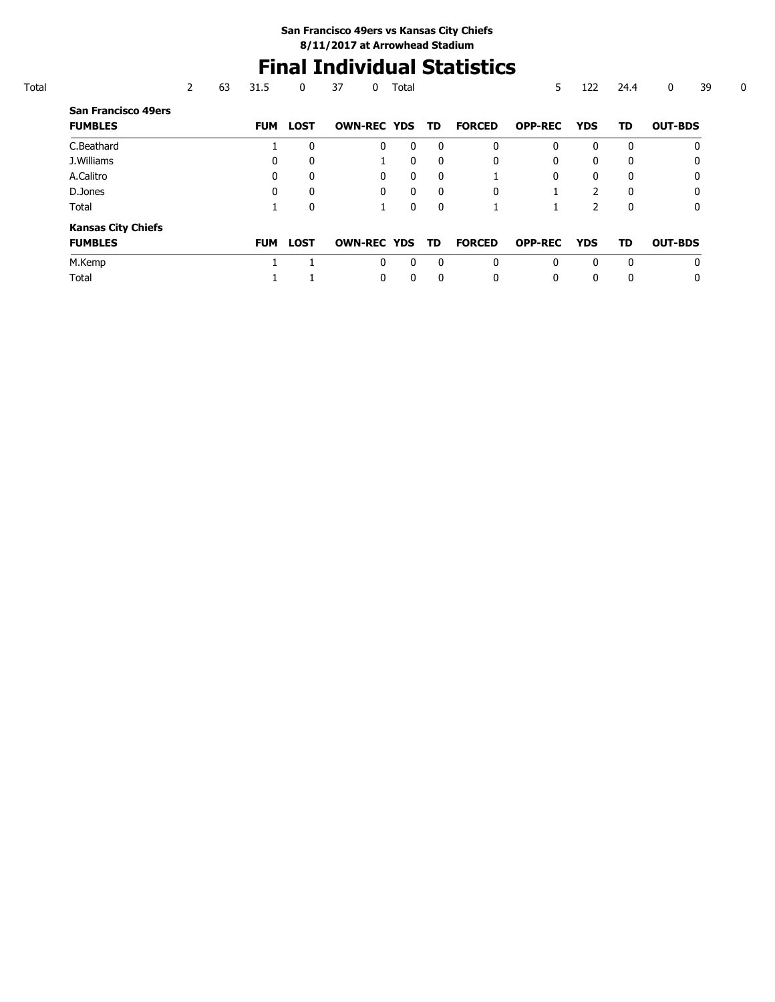## **Final Individual Statistics**

|                                              | 63 | 31.5       | 0            | 37                    | 0            | Total        |              |               | 5              | 122           | 24.4         | 39<br>0        |
|----------------------------------------------|----|------------|--------------|-----------------------|--------------|--------------|--------------|---------------|----------------|---------------|--------------|----------------|
| <b>San Francisco 49ers</b><br><b>FUMBLES</b> |    | <b>FUM</b> | <b>LOST</b>  | <b>OWN-REC YDS TD</b> |              |              |              | <b>FORCED</b> | <b>OPP-REC</b> | <b>YDS</b>    | TD           | <b>OUT-BDS</b> |
| C.Beathard                                   |    |            | $\mathbf{0}$ |                       | 0            | $\mathbf{0}$ | $\Omega$     | $\Omega$      | 0              | 0             | $\Omega$     | 0              |
| J.Williams                                   |    | 0          | 0            |                       |              | $\mathbf{0}$ | $\Omega$     | $\Omega$      | 0              | 0             | $\Omega$     | 0              |
| A.Calitro                                    |    | 0          | $\Omega$     |                       | 0            | $\mathbf{0}$ | $\Omega$     |               | 0              | 0             | $\Omega$     | 0              |
| D.Jones                                      |    | 0          | 0            |                       | $\mathbf{0}$ | $\mathbf{0}$ | $\Omega$     | $\Omega$      |                | $\mathcal{P}$ | $\Omega$     | 0              |
| Total                                        |    |            | 0            |                       |              | $\mathbf{0}$ | $\mathbf{0}$ |               |                | 2             | $\mathbf{0}$ | 0              |
| <b>Kansas City Chiefs</b>                    |    |            |              |                       |              |              |              |               |                |               |              |                |
| <b>FUMBLES</b>                               |    | <b>FUM</b> | <b>LOST</b>  | <b>OWN-REC YDS TD</b> |              |              |              | <b>FORCED</b> | <b>OPP-REC</b> | <b>YDS</b>    | TD           | <b>OUT-BDS</b> |
| M.Kemp                                       |    |            |              |                       | 0            | $\Omega$     | $\Omega$     | $\Omega$      | 0              | 0             | $\Omega$     | $\Omega$       |
| Total                                        |    |            |              |                       | 0            | 0            | $\mathbf{0}$ | $\mathbf{0}$  | 0              | 0             | $\Omega$     | 0              |
|                                              |    |            |              |                       |              |              |              |               |                |               |              |                |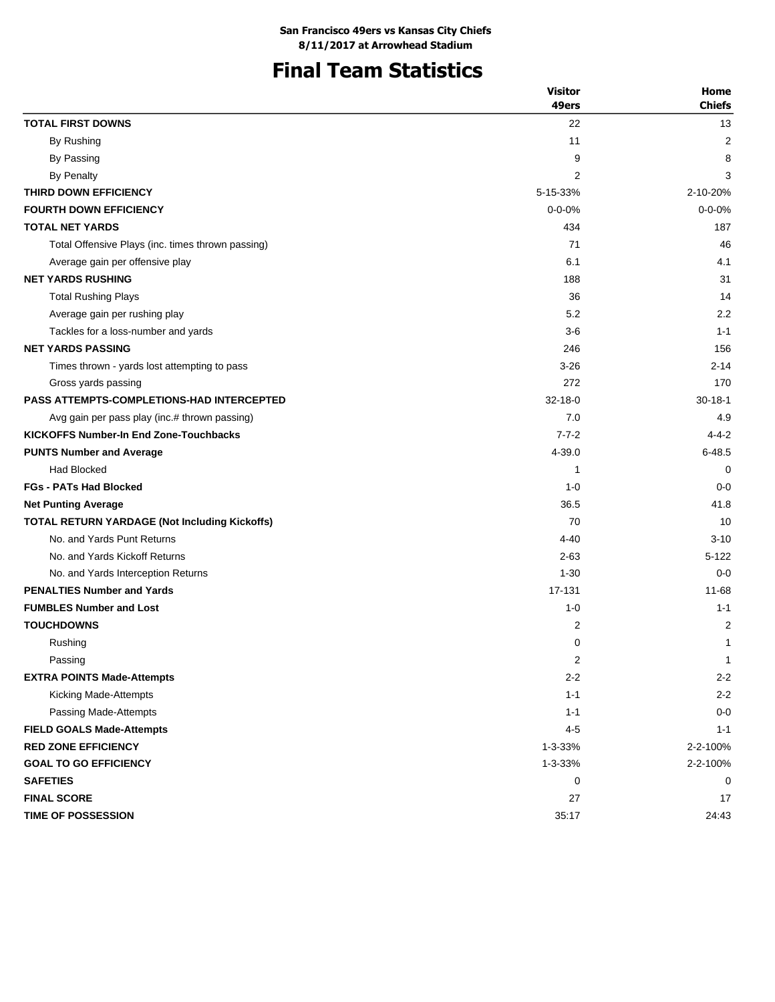## **Final Team Statistics**

|                                                      | <b>Visitor</b> | Home          |
|------------------------------------------------------|----------------|---------------|
|                                                      | 49ers          | <b>Chiefs</b> |
| <b>TOTAL FIRST DOWNS</b>                             | 22             | 13            |
| By Rushing                                           | 11             | 2             |
| By Passing                                           | 9              | 8             |
| By Penalty                                           | 2              | 3             |
| THIRD DOWN EFFICIENCY                                | 5-15-33%       | 2-10-20%      |
| <b>FOURTH DOWN EFFICIENCY</b>                        | $0 - 0 - 0%$   | $0 - 0 - 0%$  |
| <b>TOTAL NET YARDS</b>                               | 434            | 187           |
| Total Offensive Plays (inc. times thrown passing)    | 71             | 46            |
| Average gain per offensive play                      | 6.1            | 4.1           |
| <b>NET YARDS RUSHING</b>                             | 188            | 31            |
| <b>Total Rushing Plays</b>                           | 36             | 14            |
| Average gain per rushing play                        | 5.2            | 2.2           |
| Tackles for a loss-number and yards                  | $3-6$          | $1 - 1$       |
| <b>NET YARDS PASSING</b>                             | 246            | 156           |
| Times thrown - yards lost attempting to pass         | $3 - 26$       | $2 - 14$      |
| Gross yards passing                                  | 272            | 170           |
| <b>PASS ATTEMPTS-COMPLETIONS-HAD INTERCEPTED</b>     | $32 - 18 - 0$  | $30 - 18 - 1$ |
| Avg gain per pass play (inc.# thrown passing)        | 7.0            | 4.9           |
| <b>KICKOFFS Number-In End Zone-Touchbacks</b>        | $7 - 7 - 2$    | $4 - 4 - 2$   |
| <b>PUNTS Number and Average</b>                      | 4-39.0         | $6 - 48.5$    |
| <b>Had Blocked</b>                                   | 1              | $\mathbf 0$   |
| <b>FGs - PATs Had Blocked</b>                        | $1 - 0$        | $0 - 0$       |
| <b>Net Punting Average</b>                           | 36.5           | 41.8          |
| <b>TOTAL RETURN YARDAGE (Not Including Kickoffs)</b> | 70             | 10            |
| No. and Yards Punt Returns                           | $4 - 40$       | $3 - 10$      |
| No. and Yards Kickoff Returns                        | $2 - 63$       | $5 - 122$     |
| No. and Yards Interception Returns                   | $1 - 30$       | $0 - 0$       |
| <b>PENALTIES Number and Yards</b>                    | 17-131         | $11 - 68$     |
| <b>FUMBLES Number and Lost</b>                       | $1 - 0$        | $1 - 1$       |
| <b>TOUCHDOWNS</b>                                    | 2              | 2             |
| Rushing                                              | 0              | 1             |
| Passing                                              | 2              | $\mathbf 1$   |
| <b>EXTRA POINTS Made-Attempts</b>                    | $2 - 2$        | $2 - 2$       |
| Kicking Made-Attempts                                | $1 - 1$        | $2 - 2$       |
| Passing Made-Attempts                                | $1 - 1$        | $0 - 0$       |
| <b>FIELD GOALS Made-Attempts</b>                     | $4 - 5$        | $1 - 1$       |
| <b>RED ZONE EFFICIENCY</b>                           | 1-3-33%        | 2-2-100%      |
| <b>GOAL TO GO EFFICIENCY</b>                         | 1-3-33%        | 2-2-100%      |
| <b>SAFETIES</b>                                      | 0              | 0             |
| <b>FINAL SCORE</b>                                   | 27             | 17            |
| <b>TIME OF POSSESSION</b>                            | 35:17          | 24:43         |
|                                                      |                |               |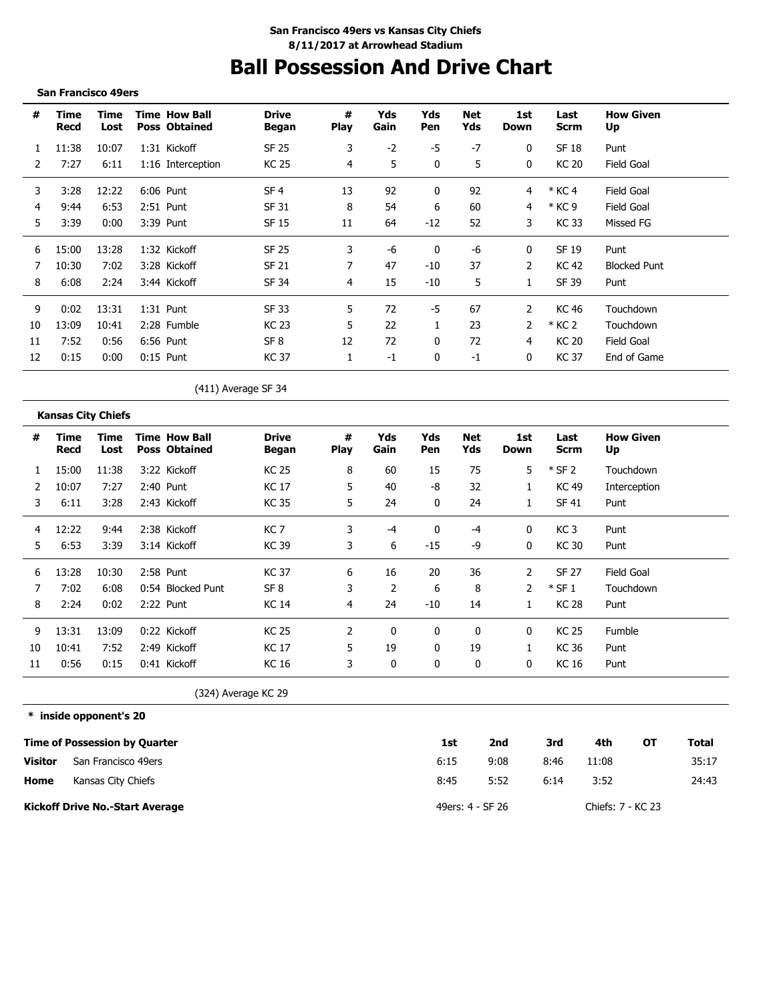## **Ball Possession And Drive Chart**

#### **San Francisco 49ers**

| #  | Time<br>Recd | Time<br>Lost | <b>Time How Ball</b><br><b>Poss Obtained</b> | <b>Drive</b><br>Began | #<br><b>Play</b> | Yds<br>Gain | Yds<br>Pen   | Net<br>Yds | 1st<br>Down  | Last<br><b>Scrm</b> | <b>How Given</b><br>Up |
|----|--------------|--------------|----------------------------------------------|-----------------------|------------------|-------------|--------------|------------|--------------|---------------------|------------------------|
|    | 11:38        | 10:07        | 1:31 Kickoff                                 | SF 25                 | 3                | $-2$        | -5           | -7         | $\mathbf{0}$ | SF 18               | Punt                   |
|    | 7:27         | 6:11         | 1:16 Interception                            | KC 25                 | 4                | 5           | $\Omega$     | 5          | 0            | <b>KC 20</b>        | Field Goal             |
| 3  | 3:28         | 12:22        | 6:06 Punt                                    | SF <sub>4</sub>       | 13               | 92          | $\Omega$     | 92         | 4            | $*$ KC 4            | Field Goal             |
| 4  | 9:44         | 6:53         | 2:51 Punt                                    | SF 31                 | 8                | 54          | 6            | 60         | 4            | * KC 9              | Field Goal             |
| 5  | 3:39         | 0:00         | 3:39 Punt                                    | SF 15                 | 11               | 64          | $-12$        | 52         | 3            | KC 33               | Missed FG              |
| 6  | 15:00        | 13:28        | 1:32 Kickoff                                 | <b>SF 25</b>          | 3                | -6          | $\Omega$     | -6         | 0            | SF 19               | Punt                   |
|    | 10:30        | 7:02         | 3:28 Kickoff                                 | SF 21                 |                  | 47          | $-10$        | 37         | 2            | KC 42               | <b>Blocked Punt</b>    |
| 8  | 6:08         | 2:24         | 3:44 Kickoff                                 | SF 34                 | 4                | 15          | $-10$        | 5          |              | SF 39               | Punt                   |
| 9  | 0:02         | 13:31        | $1:31$ Punt                                  | SF 33                 | 5                | 72          | -5           | 67         |              | KC 46               | Touchdown              |
| 10 | 13:09        | 10:41        | 2:28 Fumble                                  | KC 23                 | 5                | 22          |              | 23         |              | * KC 2              | Touchdown              |
| 11 | 7:52         | 0:56         | 6:56 Punt                                    | SF <sub>8</sub>       | 12               | 72          | $\mathbf{0}$ | 72         | 4            | <b>KC 20</b>        | Field Goal             |
| 12 | 0:15         | 0:00         | $0:15$ Punt                                  | KC 37                 |                  | $-1$        | $\bf{0}$     | $-1$       | $\mathbf{0}$ | <b>KC37</b>         | End of Game            |

(411) Average SF 34

### **Kansas City Chiefs**

| #  | Time<br>Recd | Time<br>Lost | <b>Time How Ball</b><br><b>Poss Obtained</b> | <b>Drive</b><br>Began | #<br><b>Play</b> | Yds<br>Gain    | Yds<br>Pen   | Net<br>Yds   | 1st<br>Down   | Last<br>Scrm    | <b>How Given</b><br>Up |
|----|--------------|--------------|----------------------------------------------|-----------------------|------------------|----------------|--------------|--------------|---------------|-----------------|------------------------|
|    | 15:00        | 11:38        | 3:22 Kickoff                                 | KC 25                 | 8                | 60             | 15           | 75           | 5.            | $*$ SF 2        | Touchdown              |
| 2  | 10:07        | 7:27         | 2:40 Punt                                    | <b>KC17</b>           | 5                | 40             | -8           | 32           | 1             | KC 49           | Interception           |
| 3  | 6:11         | 3:28         | 2:43 Kickoff                                 | KC 35                 | 5.               | 24             | 0            | 24           | 1             | SF 41           | Punt                   |
| 4  | 12:22        | 9:44         | 2:38 Kickoff                                 | KC <sub>7</sub>       | 3                | $-4$           | 0            | -4           | 0             | KC <sub>3</sub> | Punt                   |
| 5. | 6:53         | 3:39         | 3:14 Kickoff                                 | KC 39                 | 3                | 6              | $-15$        | -9           | 0             | <b>KC 30</b>    | Punt                   |
| 6  | 13:28        | 10:30        | 2:58 Punt                                    | KC 37                 | 6                | 16             | 20           | 36           | 2             | SF 27           | Field Goal             |
| 7  | 7:02         | 6:08         | 0:54 Blocked Punt                            | SF <sub>8</sub>       | 3                | $\overline{2}$ | 6            | 8            | $\mathcal{P}$ | $*$ SF 1        | Touchdown              |
| 8  | 2:24         | 0:02         | 2:22 Punt                                    | <b>KC 14</b>          | 4                | 24             | $-10$        | 14           | $\mathbf{1}$  | <b>KC 28</b>    | Punt                   |
| 9  | 13:31        | 13:09        | 0:22 Kickoff                                 | <b>KC 25</b>          | 2                | $\mathbf{0}$   | 0            | $\mathbf{0}$ | $\Omega$      | <b>KC 25</b>    | Fumble                 |
| 10 | 10:41        | 7:52         | 2:49 Kickoff                                 | KC 17                 | 5.               | 19             | $\mathbf{0}$ | 19           | 1             | KC 36           | Punt                   |
| 11 | 0:56         | 0:15         | 0:41 Kickoff                                 | <b>KC16</b>           | 3                | 0              | 0            | 0            | 0             | KC 16           | Punt                   |

(324) Average KC 29

**\* inside opponent's 20**

|                | <b>Time of Possession by Quarter</b>   | 1st  | 2nd              | 3rd  | 4th               | ΟТ | Total |
|----------------|----------------------------------------|------|------------------|------|-------------------|----|-------|
| <b>Visitor</b> | San Francisco 49ers                    | 6:15 | 9:08             | 8:46 | 11:08             |    | 35:17 |
| Home           | Kansas City Chiefs                     | 8:45 | 5:52             | 6:14 | 3:52              |    | 24:43 |
|                | <b>Kickoff Drive No.-Start Average</b> |      | 49ers: 4 - SF 26 |      | Chiefs: 7 - KC 23 |    |       |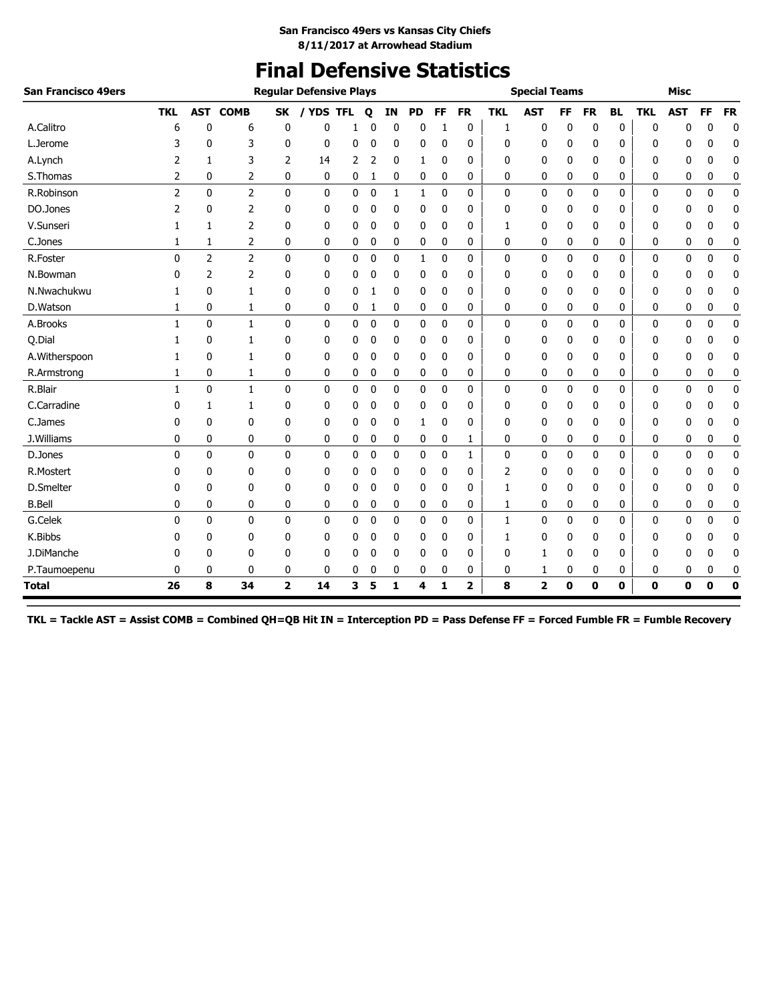## **Final Defensive Statistics**

| <b>San Francisco 49ers</b> |                | <b>Regular Defensive Plays</b> |                |                |                |   |             |    |              |           |           |            | <b>Special Teams</b> |    |           |           |             | <b>Misc</b> |              |             |
|----------------------------|----------------|--------------------------------|----------------|----------------|----------------|---|-------------|----|--------------|-----------|-----------|------------|----------------------|----|-----------|-----------|-------------|-------------|--------------|-------------|
|                            | <b>TKL</b>     | <b>AST</b>                     | <b>COMB</b>    | SK             | <b>YDS TFL</b> |   | Q           | ΙN | <b>PD</b>    | <b>FF</b> | <b>FR</b> | <b>TKL</b> | <b>AST</b>           | FF | <b>FR</b> | <b>BL</b> | <b>TKL</b>  | <b>AST</b>  | FF           | <b>FR</b>   |
| A.Calitro                  | 6              | 0                              | 6              | 0              | 0              | 1 | 0           | 0  | 0            | 1         | 0         | 1          | 0                    | 0  | 0         | 0         | 0           | 0           | 0            | $\mathbf 0$ |
| L.Jerome                   | 3              | 0                              | 3              | 0              | 0              | 0 | 0           | 0  | 0            | 0         | 0         | 0          | 0                    | 0  | 0         | 0         | 0           | 0           | 0            | $\mathbf 0$ |
| A.Lynch                    | 2              | 1                              | 3              | 2              | 14             | 2 | 2           | 0  | 1            | 0         | 0         | 0          | 0                    | 0  | 0         | 0         | 0           | 0           | 0            | 0           |
| S.Thomas                   | 2              | 0                              | 2              | 0              | 0              | 0 | 1           | 0  | 0            | 0         | 0         | 0          | 0                    | 0  | 0         | 0         | 0           | 0           | 0            | 0           |
| R.Robinson                 | $\overline{2}$ | $\mathbf{0}$                   | $\overline{2}$ | $\mathbf{0}$   | $\mathbf{0}$   | 0 | $\mathbf 0$ | 1  | 1            | 0         | 0         | 0          | $\mathbf 0$          | 0  | 0         | 0         | 0           | 0           | $\mathbf{0}$ | $\pmb{0}$   |
| DO.Jones                   | 2              | 0                              | 2              | 0              | 0              | 0 | 0           | 0  | 0            | 0         | 0         | 0          | 0                    | 0  | 0         | 0         | 0           | 0           | 0            | 0           |
| V.Sunseri                  | 1              | 1                              | 2              | 0              | 0              | 0 | 0           | 0  | 0            | 0         | 0         | 1          | 0                    | 0  | 0         | 0         | 0           | 0           | 0            | $\mathbf 0$ |
| C.Jones                    | 1              | 1                              | 2              | 0              | 0              | 0 | 0           | 0  | 0            | 0         | 0         | 0          | 0                    | 0  | 0         | 0         | 0           | 0           | 0            | 0           |
| R.Foster                   | 0              | $\overline{2}$                 | $\overline{2}$ | $\mathbf 0$    | 0              | 0 | $\mathbf 0$ | 0  | $\mathbf{1}$ | 0         | 0         | 0          | $\mathbf 0$          | 0  | 0         | 0         | 0           | 0           | $\mathbf 0$  | $\mathbf 0$ |
| N.Bowman                   | 0              | 2                              | 2              | 0              | 0              | 0 | 0           | 0  | 0            | 0         | 0         | 0          | 0                    | 0  | 0         | 0         | 0           | 0           | 0            | 0           |
| N.Nwachukwu                | 1              | 0                              | 1              | 0              | 0              | 0 | 1           | 0  | 0            | 0         | 0         | 0          | 0                    | 0  | 0         | 0         | 0           | 0           | 0            | 0           |
| D.Watson                   | 1              | 0                              | 1              | 0              | 0              | 0 | 1           | 0  | 0            | 0         | 0         | 0          | 0                    | 0  | 0         | 0         | 0           | 0           | 0            | 0           |
| A.Brooks                   | $\mathbf{1}$   | $\mathbf{0}$                   | $\mathbf{1}$   | $\mathbf{0}$   | 0              | 0 | 0           | 0  | 0            | 0         | 0         | 0          | $\mathbf 0$          | 0  | 0         | 0         | 0           | 0           | 0            | $\mathbf 0$ |
| Q.Dial                     | 1              | 0                              | 1              | 0              | 0              | 0 | 0           | 0  | 0            | 0         | 0         | 0          | 0                    | 0  | 0         | 0         | 0           | 0           | 0            | 0           |
| A.Witherspoon              |                | 0                              | 1              | 0              | 0              | 0 | 0           | 0  | 0            | 0         | 0         | 0          | 0                    | 0  | 0         | 0         | 0           | 0           | 0            | 0           |
| R.Armstrong                | 1              | 0                              | 1              | 0              | 0              | 0 | 0           | 0  | 0            | 0         | 0         | 0          | 0                    | 0  | 0         | 0         | 0           | 0           | 0            | 0           |
| R.Blair                    | $\mathbf{1}$   | $\mathbf{0}$                   | $\mathbf{1}$   | $\mathbf{0}$   | 0              | 0 | $\mathbf 0$ | 0  | $\mathbf{0}$ | 0         | 0         | 0          | 0                    | 0  | 0         | 0         | 0           | 0           | $\mathbf{0}$ | $\pmb{0}$   |
| C.Carradine                | 0              | 1                              | 1              | 0              | 0              | 0 | 0           | 0  | 0            | 0         | 0         | 0          | 0                    | 0  | 0         | 0         | 0           | 0           | 0            | 0           |
| C.James                    | 0              | 0                              | 0              | 0              | 0              | 0 | 0           | 0  | 1            | 0         | 0         | 0          | 0                    | 0  | 0         | 0         | 0           | 0           | 0            | 0           |
| J.Williams                 | 0              | 0                              | 0              | 0              | 0              | 0 | 0           | 0  | 0            | 0         | 1         | 0          | 0                    | 0  | 0         | 0         | 0           | 0           | 0            | 0           |
| D.Jones                    | 0              | $\mathbf{0}$                   | $\mathbf{0}$   | $\mathbf{0}$   | 0              | 0 | 0           | 0  | 0            | 0         | 1         | 0          | 0                    | 0  | 0         | 0         | 0           | 0           | $\mathbf{0}$ | $\mathbf 0$ |
| R.Mostert                  | 0              | 0                              | 0              | 0              | 0              | 0 | 0           | 0  | 0            | 0         | 0         | 2          | 0                    | 0  | 0         | 0         | 0           | 0           | 0            | 0           |
| D.Smelter                  | 0              | 0                              | 0              | 0              | 0              | 0 | 0           | 0  | 0            | 0         | 0         | 1          | 0                    | 0  | 0         | 0         | 0           | 0           | 0            | 0           |
| <b>B.Bell</b>              | 0              | 0                              | 0              | 0              | 0              | 0 | 0           | 0  | 0            | 0         | 0         | 1          | 0                    | 0  | 0         | 0         | 0           | 0           | 0            | 0           |
| G.Celek                    | 0              | $\mathbf{0}$                   | 0              | $\mathbf{0}$   | 0              | 0 | 0           | 0  | 0            | 0         | 0         | 1          | $\mathbf 0$          | 0  | 0         | 0         | 0           | 0           | 0            | 0           |
| K.Bibbs                    | 0              | 0                              | 0              | 0              | 0              | 0 | 0           | 0  | 0            | 0         | 0         | 1          | 0                    | 0  | 0         | 0         | 0           | 0           | 0            | $\mathbf 0$ |
| J.DiManche                 | 0              | 0                              | 0              | 0              | 0              | 0 | 0           | 0  | 0            | 0         | 0         | 0          | 1                    | 0  | 0         | 0         | 0           | 0           | 0            | 0           |
| P.Taumoepenu               | 0              | 0                              | 0              | 0              | 0              | 0 | 0           | 0  | 0            | 0         | 0         | 0          | 1                    | 0  | 0         | 0         | 0           | 0           | 0            | 0           |
| <b>Total</b>               | 26             | 8                              | 34             | $\overline{2}$ | 14             | 3 | 5           | 1  | 4            | 1         | 2         | 8          | $\mathbf{2}$         | 0  | 0         | 0         | $\mathbf 0$ | 0           | $\mathbf 0$  | 0           |

**TKL = Tackle AST = Assist COMB = Combined QH=QB Hit IN = Interception PD = Pass Defense FF = Forced Fumble FR = Fumble Recovery**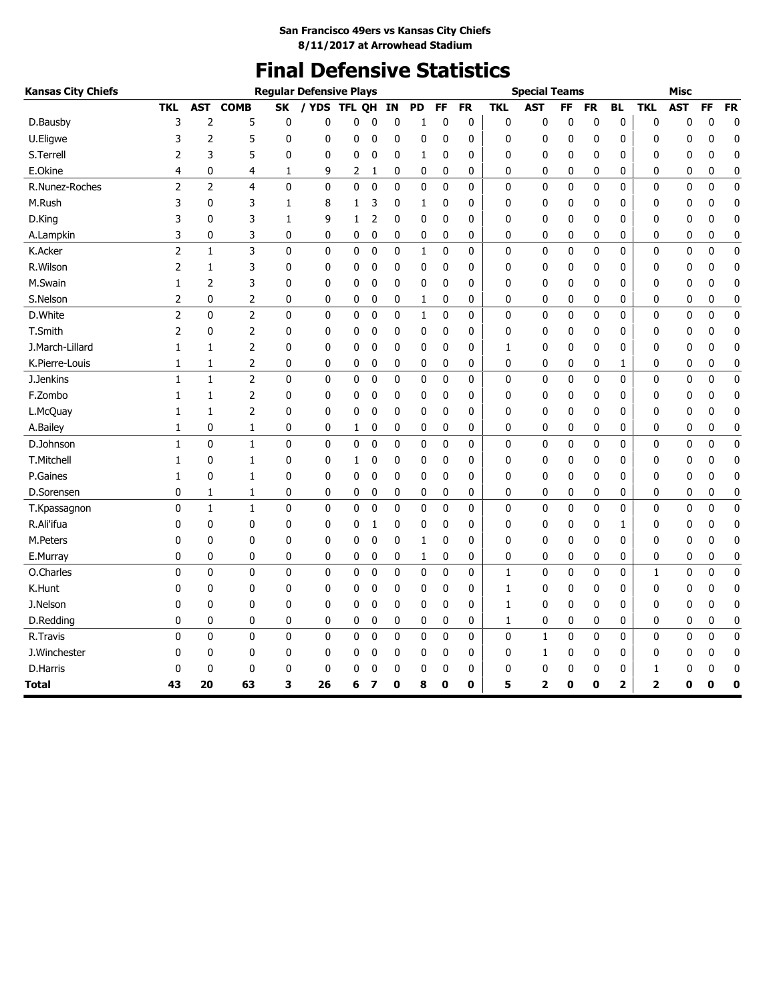# **Final Defensive Statistics**

| <b>Kansas City Chiefs</b> |                |                |                |              | <b>Regular Defensive Plays</b> |              |              |             |             |             |             |              | <b>Special Teams</b>    |              |             |           |              | <b>Misc</b> |             |             |
|---------------------------|----------------|----------------|----------------|--------------|--------------------------------|--------------|--------------|-------------|-------------|-------------|-------------|--------------|-------------------------|--------------|-------------|-----------|--------------|-------------|-------------|-------------|
|                           | <b>TKL</b>     | <b>AST</b>     | <b>COMB</b>    | <b>SK</b>    | / YDS                          | <b>TFL</b>   | <b>OH</b>    | ΙN          | <b>PD</b>   | FF          | <b>FR</b>   | <b>TKL</b>   | <b>AST</b>              | FF           | <b>FR</b>   | <b>BL</b> | <b>TKL</b>   | <b>AST</b>  | FF          | <b>FR</b>   |
| D.Bausby                  | 3              | $\overline{c}$ | 5              | 0            | $\mathbf{0}$                   | 0            | 0            | $\mathbf 0$ | 1           | 0           | $\bf{0}$    | $\mathbf 0$  | 0                       | $\mathbf{0}$ | 0           | $\pmb{0}$ | 0            | 0           | $\mathbf 0$ | $\mathbf 0$ |
| U.Eligwe                  | 3              | $\overline{2}$ | 5              | 0            | 0                              | 0            | 0            | 0           | 0           | 0           | $\mathbf 0$ | 0            | 0                       | 0            | 0           | 0         | 0            | 0           | 0           | 0           |
| S.Terrell                 | 2              | 3              | 5              | 0            | 0                              | 0            | 0            | $\mathbf 0$ | 1           | 0           | $\mathbf 0$ | 0            | 0                       | 0            | 0           | 0         | $\mathbf{0}$ | 0           | 0           | $\mathbf 0$ |
| E.Okine                   | 4              | 0              | 4              | 1            | 9                              | 2            | 1            | 0           | 0           | 0           | 0           | 0            | 0                       | 0            | 0           | 0         | 0            | 0           | 0           | 0           |
| R.Nunez-Roches            | $\overline{2}$ | $\overline{2}$ | 4              | $\mathbf{0}$ | 0                              | $\mathbf{0}$ | $\mathbf{0}$ | $\mathbf 0$ | 0           | 0           | 0           | 0            | 0                       | 0            | $\mathbf 0$ | 0         | 0            | 0           | 0           | $\mathbf 0$ |
| M.Rush                    | 3              | 0              | 3              | 1            | 8                              | 1            | 3            | 0           | 1           | 0           | 0           | 0            | 0                       | 0            | 0           | 0         | 0            | 0           | 0           | 0           |
| D.King                    | 3              | 0              | 3              | 1            | 9                              | 1            | 2            | 0           | 0           | $\mathbf 0$ | 0           | 0            | 0                       | 0            | 0           | 0         | 0            | 0           | 0           | 0           |
| A.Lampkin                 | 3              | 0              | 3              | 0            | 0                              | 0            | 0            | 0           | 0           | 0           | 0           | 0            | 0                       | 0            | 0           | 0         | 0            | 0           | 0           | 0           |
| K.Acker                   | $\overline{2}$ | $\mathbf{1}$   | 3              | 0            | 0                              | 0            | 0            | 0           | $\mathbf 1$ | $\mathbf 0$ | 0           | 0            | 0                       | 0            | 0           | 0         | $\mathbf 0$  | $\mathbf 0$ | $\mathbf 0$ | 0           |
| R.Wilson                  | 2              | 1              | 3              | 0            | $\mathbf{0}$                   | 0            | 0            | 0           | 0           | 0           | 0           | 0            | 0                       | 0            | 0           | 0         | 0            | 0           | 0           | 0           |
| M.Swain                   | 1              | 2              | 3              | 0            | 0                              | 0            | 0            | 0           | 0           | 0           | 0           | 0            | 0                       | 0            | 0           | 0         | 0            | 0           | 0           | 0           |
| S.Nelson                  | 2              | 0              | 2              | 0            | 0                              | 0            | 0            | 0           | 1           | 0           | 0           | 0            | 0                       | 0            | 0           | 0         | 0            | 0           | 0           | 0           |
| D.White                   | 2              | 0              | $\overline{2}$ | 0            | 0                              | 0            | 0            | 0           | 1           | 0           | 0           | 0            | 0                       | 0            | 0           | 0         | 0            | 0           | 0           | 0           |
| T.Smith                   | 2              | 0              | 2              | 0            | 0                              | 0            | 0            | 0           | 0           | 0           | 0           | 0            | 0                       | 0            | 0           | 0         | 0            | 0           | 0           | 0           |
| J.March-Lillard           | 1              | 1              | 2              | 0            | 0                              | 0            | 0            | 0           | 0           | 0           | $\mathbf 0$ | 1            | 0                       | 0            | 0           | 0         | 0            | 0           | 0           | 0           |
| K.Pierre-Louis            | 1              | 1              | 2              | 0            | 0                              | 0            | 0            | 0           | 0           | 0           | 0           | 0            | 0                       | 0            | 0           | 1         | 0            | 0           | 0           | 0           |
| J.Jenkins                 | 1              | $\mathbf{1}$   | $\overline{2}$ | 0            | 0                              | 0            | 0            | 0           | 0           | 0           | 0           | 0            | 0                       | 0            | 0           | 0         | 0            | 0           | 0           | $\pmb{0}$   |
| F.Zombo                   | 1              | 1              | 2              | 0            | 0                              | 0            | 0            | 0           | 0           | 0           | 0           | 0            | 0                       | 0            | 0           | 0         | 0            | 0           | 0           | $\mathbf 0$ |
| L.McQuay                  | 1              | $\mathbf{1}$   | $\overline{c}$ | 0            | 0                              | 0            | 0            | $\mathbf 0$ | 0           | $\mathbf 0$ | 0           | 0            | 0                       | 0            | 0           | 0         | 0            | 0           | 0           | $\mathbf 0$ |
| A.Bailey                  | 1              | 0              | 1              | 0            | 0                              | 1            | 0            | 0           | 0           | 0           | 0           | 0            | 0                       | 0            | 0           | 0         | 0            | 0           | 0           | 0           |
| D.Johnson                 | 1              | $\mathbf 0$    | $\mathbf 1$    | 0            | 0                              | 0            | 0            | $\pmb{0}$   | $\pmb{0}$   | $\bf{0}$    | 0           | 0            | 0                       | 0            | 0           | 0         | $\mathbf 0$  | $\bf{0}$    | $\bf{0}$    | $\pmb{0}$   |
| T.Mitchell                | 1              | 0              | 1              | 0            | 0                              | 1            | 0            | 0           | 0           | 0           | 0           | 0            | 0                       | 0            | 0           | 0         | 0            | 0           | 0           | 0           |
| P.Gaines                  | 1              | 0              | 1              | 0            | 0                              | 0            | 0            | 0           | 0           | 0           | 0           | 0            | 0                       | 0            | 0           | 0         | $\mathbf{0}$ | 0           | 0           | 0           |
| D.Sorensen                | 0              | 1              | 1              | 0            | 0                              | 0            | 0            | 0           | 0           | 0           | 0           | 0            | 0                       | 0            | 0           | 0         | 0            | 0           | 0           | 0           |
| T.Kpassagnon              | 0              | $\mathbf{1}$   | $\mathbf{1}$   | $\mathbf 0$  | 0                              | 0            | $\mathbf 0$  | $\mathbf 0$ | 0           | $\mathbf 0$ | 0           | 0            | $\mathbf 0$             | 0            | $\mathbf 0$ | 0         | 0            | 0           | $\mathbf 0$ | $\mathbf 0$ |
| R.Ali'ifua                | 0              | 0              | 0              | 0            | 0                              | 0            | 1            | 0           | 0           | 0           | 0           | 0            | 0                       | 0            | 0           | 1         | 0            | 0           | 0           | 0           |
| M.Peters                  | 0              | 0              | 0              | 0            | 0                              | 0            | 0            | 0           | 1           | $\mathbf 0$ | 0           | 0            | 0                       | 0            | 0           | 0         | 0            | 0           | 0           | $\mathbf 0$ |
| E.Murray                  | 0              | 0              | 0              | 0            | 0                              | 0            | 0            | 0           | 1           | 0           | 0           | 0            | 0                       | 0            | 0           | 0         | 0            | 0           | 0           | $\bf{0}$    |
| O.Charles                 | 0              | $\mathbf{0}$   | 0              | $\mathbf{0}$ | 0                              | 0            | $\mathbf 0$  | $\mathbf 0$ | 0           | $\mathbf 0$ | $\mathbf 0$ | $\mathbf{1}$ | 0                       | 0            | $\mathbf 0$ | 0         | 1            | 0           | 0           | $\mathbf 0$ |
| K.Hunt                    | 0              | 0              | 0              | 0            | 0                              | 0            | 0            | 0           | 0           | 0           | 0           | 1            | 0                       | 0            | 0           | 0         | 0            | 0           | 0           | 0           |
| J.Nelson                  | 0              | 0              | 0              | 0            | 0                              | 0            | 0            | 0           | 0           | 0           | 0           | 1            | 0                       | 0            | 0           | 0         | 0            | 0           | 0           | $\mathbf 0$ |
| D.Redding                 | 0              | 0              | 0              | 0            | 0                              | 0            | 0            | 0           | 0           | 0           | 0           | 1            | 0                       | 0            | 0           | 0         | 0            | 0           | 0           | $\bf{0}$    |
| R.Travis                  | 0              | $\mathbf{0}$   | 0              | 0            | 0                              | $\mathbf 0$  | 0            | $\mathbf 0$ | 0           | $\mathbf 0$ | 0           | 0            | 1                       | 0            | $\mathbf 0$ | 0         | 0            | 0           | $\mathbf 0$ | 0           |
| J.Winchester              | 0              | 0              | 0              | 0            | 0                              | 0            | 0            | 0           | 0           | 0           | 0           | 0            | 1                       | 0            | 0           | 0         | 0            | 0           | 0           | 0           |
| D.Harris                  | 0              | 0              | 0              | 0            | 0                              | 0            | 0            | 0           | 0           | $\mathbf 0$ | 0           | 0            | 0                       | 0            | 0           | 0         | 1            | 0           | 0           | $\bf{0}$    |
| Total                     | 43             | 20             | 63             | 3            | 26                             | 6            | 7            | 0           | 8           | 0           | 0           | 5            | $\overline{\mathbf{2}}$ | 0            | 0           | 2         | 2            | 0           | O           | 0           |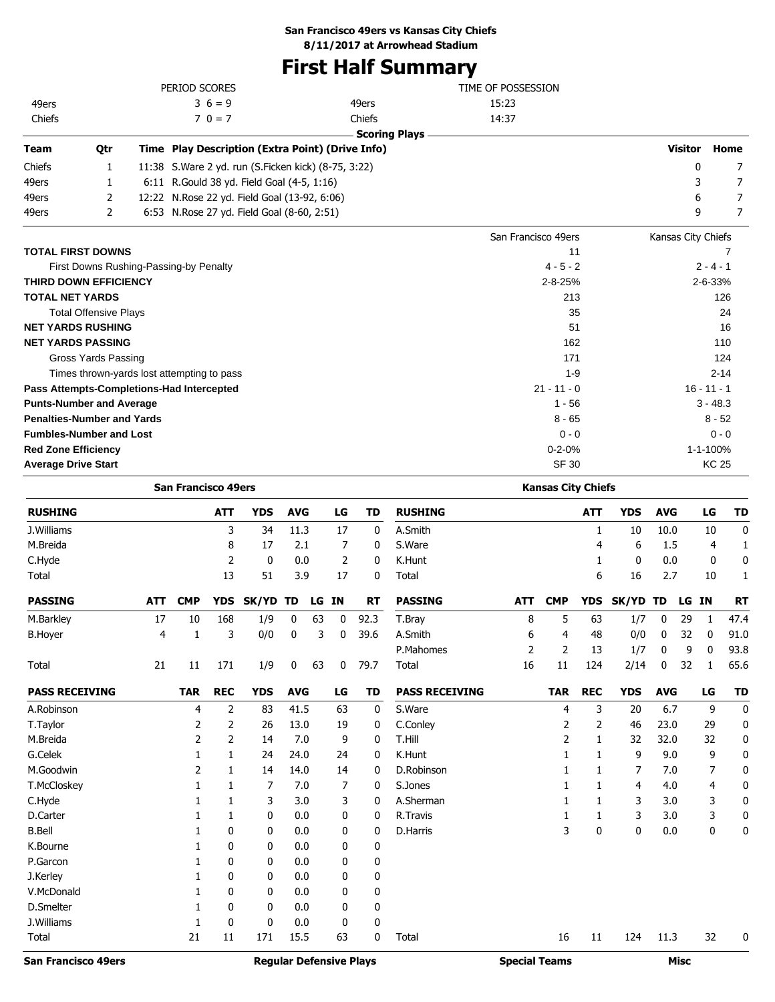## **San Francisco 49ers vs Kansas City Chiefs**

**8/11/2017 at Arrowhead Stadium**

## **First Half Summary**

|                            |                                   | PERIOD SCORES                                         |                      | TIME OF POSSESSION  |                    |               |
|----------------------------|-----------------------------------|-------------------------------------------------------|----------------------|---------------------|--------------------|---------------|
| 49ers                      |                                   | $36 = 9$                                              | 49ers                | 15:23               |                    |               |
| Chiefs                     |                                   | $70 = 7$                                              | Chiefs               | 14:37               |                    |               |
|                            |                                   |                                                       | <b>Scoring Plays</b> |                     |                    |               |
| <b>Team</b>                | Qtr                               | Time Play Description (Extra Point) (Drive Info)      |                      |                     | <b>Visitor</b>     | Home          |
| Chiefs                     | 1                                 | 11:38 S. Ware 2 yd. run (S. Ficken kick) (8-75, 3:22) |                      |                     | 0                  | 7             |
| 49ers                      | 1                                 | 6:11 R.Gould 38 yd. Field Goal (4-5, 1:16)            |                      |                     | 3                  | 7             |
| 49ers                      | 2                                 | 12:22 N.Rose 22 yd. Field Goal (13-92, 6:06)          |                      |                     | 6                  | 7             |
| 49ers                      | 2                                 | 6:53 N.Rose 27 yd. Field Goal (8-60, 2:51)            |                      |                     | 9                  | 7             |
|                            |                                   |                                                       |                      | San Francisco 49ers | Kansas City Chiefs |               |
|                            | <b>TOTAL FIRST DOWNS</b>          |                                                       |                      | 11                  |                    |               |
|                            |                                   | First Downs Rushing-Passing-by Penalty                |                      | $4 - 5 - 2$         |                    | $2 - 4 - 1$   |
|                            | <b>THIRD DOWN EFFICIENCY</b>      |                                                       |                      | $2 - 8 - 25%$       |                    | 2-6-33%       |
| <b>TOTAL NET YARDS</b>     |                                   |                                                       |                      | 213                 |                    | 126           |
|                            | <b>Total Offensive Plays</b>      |                                                       |                      | 35                  |                    | 24            |
|                            | <b>NET YARDS RUSHING</b>          |                                                       |                      | 51                  |                    | 16            |
|                            | <b>NET YARDS PASSING</b>          |                                                       |                      | 162                 |                    | 110           |
|                            | Gross Yards Passing               |                                                       |                      | 171                 |                    | 124           |
|                            |                                   | Times thrown-yards lost attempting to pass            |                      | $1 - 9$             |                    | $2 - 14$      |
|                            |                                   | Pass Attempts-Completions-Had Intercepted             |                      | $21 - 11 - 0$       |                    | $16 - 11 - 1$ |
|                            | <b>Punts-Number and Average</b>   |                                                       |                      | $1 - 56$            |                    | $3 - 48.3$    |
|                            | <b>Penalties-Number and Yards</b> |                                                       |                      | $8 - 65$            |                    | $8 - 52$      |
|                            | <b>Fumbles-Number and Lost</b>    |                                                       |                      | $0 - 0$             |                    | $0 - 0$       |
| <b>Red Zone Efficiency</b> |                                   |                                                       |                      | $0 - 2 - 0%$        |                    | 1-1-100%      |
| <b>Average Drive Start</b> |                                   |                                                       |                      | <b>SF 30</b>        |                    | <b>KC 25</b>  |

|                            |                | <b>San Francisco 49ers</b> |                |                                |             |    |              |              |                       |                      | <b>Kansas City Chiefs</b> |              |              |             |             |           |             |
|----------------------------|----------------|----------------------------|----------------|--------------------------------|-------------|----|--------------|--------------|-----------------------|----------------------|---------------------------|--------------|--------------|-------------|-------------|-----------|-------------|
| <b>RUSHING</b>             |                |                            | <b>ATT</b>     | <b>YDS</b>                     | <b>AVG</b>  |    | LG           | <b>TD</b>    | <b>RUSHING</b>        |                      |                           | <b>ATT</b>   | <b>YDS</b>   | <b>AVG</b>  |             | LG        | <b>TD</b>   |
| J.Williams                 |                |                            | 3              | 34                             | 11.3        |    | 17           | $\mathbf{0}$ | A.Smith               |                      |                           | $\mathbf{1}$ | 10           | 10.0        |             | 10        | $\mathbf 0$ |
| M.Breida                   |                |                            | 8              | 17                             | 2.1         |    | 7            | 0            | S.Ware                |                      |                           | 4            | 6            | 1.5         |             | 4         | 1           |
| C.Hyde                     |                |                            | $\overline{2}$ | 0                              | 0.0         |    | 2            | 0            | K.Hunt                |                      |                           | 1            | 0            | 0.0         |             | 0         | $\mathbf 0$ |
| Total                      |                |                            | 13             | 51                             | 3.9         |    | 17           | 0            | Total                 |                      |                           | 6            | 16           | 2.7         |             | 10        | 1           |
| <b>PASSING</b>             | <b>ATT</b>     | <b>CMP</b>                 | <b>YDS</b>     | <b>SK/YD</b>                   | TD          | LG | <b>IN</b>    | <b>RT</b>    | <b>PASSING</b>        | <b>ATT</b>           | <b>CMP</b>                | <b>YDS</b>   | <b>SK/YD</b> | TD          | LG          | <b>IN</b> | <b>RT</b>   |
| M.Barkley                  | 17             | 10                         | 168            | 1/9                            | 0           | 63 | 0            | 92.3         | T.Bray                | 8                    | 5                         | 63           | 1/7          | $\mathbf 0$ | 29          | 1         | 47.4        |
| <b>B.Hoyer</b>             | $\overline{4}$ | $\mathbf{1}$               | 3              | 0/0                            | $\mathbf 0$ | 3  | $\mathbf{0}$ | 39.6         | A.Smith               | 6                    | 4                         | 48           | 0/0          | $\mathbf 0$ | 32          | 0         | 91.0        |
|                            |                |                            |                |                                |             |    |              |              | P.Mahomes             | 2                    | 2                         | 13           | 1/7          | 0           | 9           | 0         | 93.8        |
| Total                      | 21             | 11                         | 171            | 1/9                            | 0           | 63 | 0            | 79.7         | Total                 | 16                   | 11                        | 124          | 2/14         | 0           | 32          | 1         | 65.6        |
| <b>PASS RECEIVING</b>      |                | <b>TAR</b>                 | <b>REC</b>     | <b>YDS</b>                     | <b>AVG</b>  |    | LG           | <b>TD</b>    | <b>PASS RECEIVING</b> |                      | <b>TAR</b>                | <b>REC</b>   | <b>YDS</b>   | <b>AVG</b>  |             | LG        | <b>TD</b>   |
| A.Robinson                 |                | 4                          | 2              | 83                             | 41.5        |    | 63           | $\mathbf{0}$ | S.Ware                |                      | 4                         | 3            | 20           | 6.7         |             | 9         | 0           |
| T.Taylor                   |                | 2                          | 2              | 26                             | 13.0        |    | 19           | 0            | C.Conley              |                      | 2                         | 2            | 46           | 23.0        |             | 29        | 0           |
| M.Breida                   |                | 2                          | $\overline{2}$ | 14                             | 7.0         |    | 9            | 0            | T.Hill                |                      | 2                         | 1            | 32           | 32.0        |             | 32        | 0           |
| G.Celek                    |                | 1                          | 1              | 24                             | 24.0        |    | 24           | 0            | K.Hunt                |                      | 1                         | 1            | 9            | 9.0         |             | 9         | 0           |
| M.Goodwin                  |                | 2                          | 1              | 14                             | 14.0        |    | 14           | 0            | D.Robinson            |                      | 1                         | 1            | 7            | 7.0         |             | 7         | $\mathbf 0$ |
| T.McCloskey                |                | 1                          | 1              | 7                              | 7.0         |    | 7            | 0            | S.Jones               |                      | 1                         | 1            | 4            | 4.0         |             | 4         | 0           |
| C.Hyde                     |                | 1                          | 1              | 3                              | 3.0         |    | 3            | 0            | A.Sherman             |                      | 1                         | 1            | 3            | 3.0         |             | 3         | 0           |
| D.Carter                   |                | 1                          | 1              | 0                              | 0.0         |    | 0            | $\mathbf 0$  | R. Travis             |                      | 1                         | 1            | 3            | 3.0         |             | 3         | $\mathbf 0$ |
| <b>B.Bell</b>              |                | 1                          | 0              | 0                              | 0.0         |    | 0            | 0            | <b>D.Harris</b>       |                      | 3                         | 0            | 0            | 0.0         |             | 0         | 0           |
| K.Bourne                   |                | $\mathbf{1}$               | 0              | 0                              | 0.0         |    | 0            | 0            |                       |                      |                           |              |              |             |             |           |             |
| P.Garcon                   |                | 1                          | $\mathbf{0}$   | 0                              | 0.0         |    | $\mathbf{0}$ | $\mathbf 0$  |                       |                      |                           |              |              |             |             |           |             |
| J.Kerley                   |                | 1                          | 0              | 0                              | 0.0         |    | 0            | 0            |                       |                      |                           |              |              |             |             |           |             |
| V.McDonald                 |                | 1                          | $\mathbf{0}$   | $\mathbf{0}$                   | 0.0         |    | 0            | $\mathbf 0$  |                       |                      |                           |              |              |             |             |           |             |
| D.Smelter                  |                | 1                          | $\mathbf{0}$   | $\Omega$                       | 0.0         |    | $\mathbf{0}$ | $\mathbf 0$  |                       |                      |                           |              |              |             |             |           |             |
| J.Williams                 |                | 1                          | 0              | 0                              | 0.0         |    | 0            | 0            |                       |                      |                           |              |              |             |             |           |             |
| Total                      |                | 21                         | 11             | 171                            | 15.5        |    | 63           | $\mathbf 0$  | Total                 |                      | 16                        | 11           | 124          | 11.3        |             | 32        | 0           |
| <b>San Francisco 49ers</b> |                |                            |                | <b>Reqular Defensive Plays</b> |             |    |              |              |                       | <b>Special Teams</b> |                           |              |              |             | <b>Misc</b> |           |             |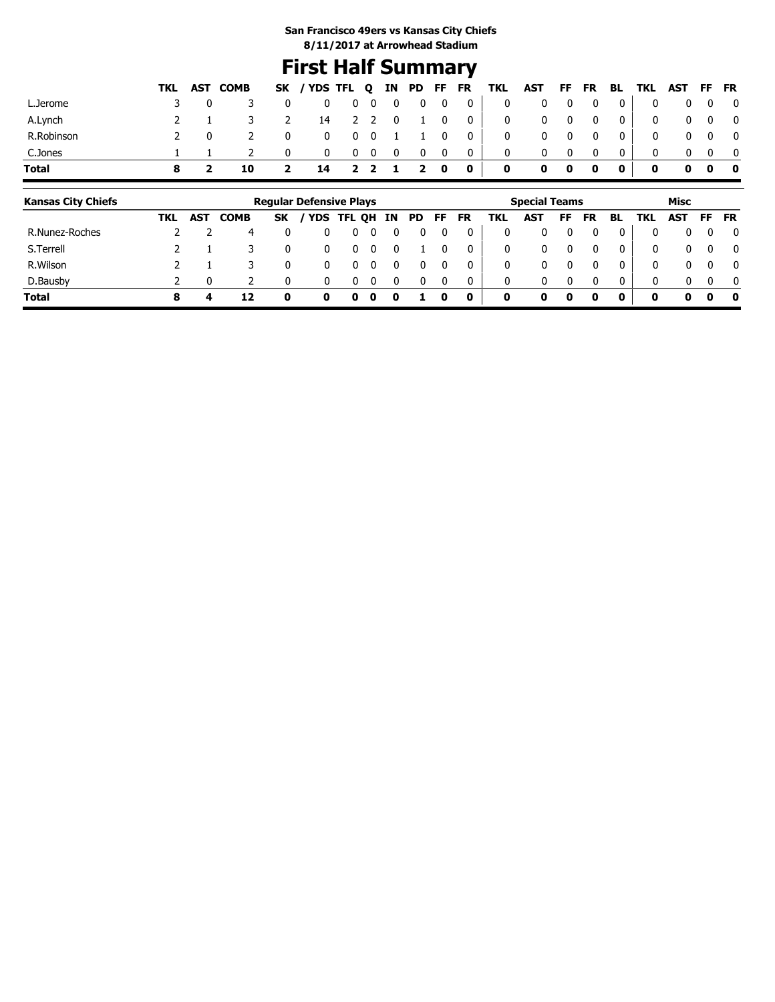## **First Half Summary**

|              |     | TKL AST COMB |                | SK / YDS TFL Q IN PD FF FR TKL AST FF FR BL TKL AST FF FR |                                                                              |                         |              |                         |                                    |                         |              |              |                   |                |                         |                                             |            |                   |
|--------------|-----|--------------|----------------|-----------------------------------------------------------|------------------------------------------------------------------------------|-------------------------|--------------|-------------------------|------------------------------------|-------------------------|--------------|--------------|-------------------|----------------|-------------------------|---------------------------------------------|------------|-------------------|
| L.Jerome     | 3 0 |              | $\mathbf 0$    |                                                           | $\begin{array}{ccccccccccccccccc} 0 & 0 & 0 & 0 & 0 & 0 & 0 & 0 \end{array}$ |                         |              |                         |                                    |                         |              |              |                   |                |                         | $\begin{matrix} 0 & 0 & 0 & 0 \end{matrix}$ |            |                   |
| A.Lynch      |     |              | $\overline{2}$ |                                                           |                                                                              |                         |              |                         |                                    | 14 2 2 0 1 0 0 0 0      |              |              | $0\quad 0\quad 0$ | $\overline{0}$ | $\overline{\mathbf{0}}$ |                                             |            | $0\quad 0\quad 0$ |
| R.Robinson   |     |              | $\mathbf 0$    |                                                           | 0 0 0 1 1 0 0 1                                                              |                         |              |                         |                                    | $\overline{\mathbf{0}}$ |              |              | $0\quad 0\quad 0$ | $\overline{0}$ | $\overline{\mathbf{0}}$ |                                             |            | $0\quad 0\quad 0$ |
| C.Jones      |     |              | $\mathbf{0}$   |                                                           | $0\quad 0\quad 0$                                                            | $\overline{\mathbf{0}}$ | $\mathbf{0}$ | $\overline{\mathbf{0}}$ | $\begin{array}{c c} 0 \end{array}$ | $\overline{\mathbf{0}}$ | $\mathbf{0}$ | $\mathbf{0}$ | 0                 |                | $\mathbf{0}$            |                                             | $0\quad 0$ |                   |
| <b>Total</b> |     |              | $\mathbf{2}$   | 14 2 2 1 2 0 0                                            |                                                                              |                         |              |                         |                                    | $\bullet$               |              | $0\quad 0$   | $\sim$ 0          | $\bullet$      |                         | $0\quad 0\quad 0\quad 0$                    |            |                   |

| <b>Kansas City Chiefs</b> |     |            |             |           | <b>Regular Defensive Plays</b> |   |   |    |    |              |    |     | <b>Special Teams</b> |    |           |          |     | Misc       |           |              |
|---------------------------|-----|------------|-------------|-----------|--------------------------------|---|---|----|----|--------------|----|-----|----------------------|----|-----------|----------|-----|------------|-----------|--------------|
|                           | TKL | <b>AST</b> | <b>COMB</b> | <b>SK</b> | YDS TFL QH                     |   |   | IN | PD | FF.          | FR | TKL | <b>AST</b>           | FF | <b>FR</b> | BL.      | TKL | <b>AST</b> | <b>FF</b> | <b>FR</b>    |
| R.Nunez-Roches            |     |            | 4           |           |                                |   |   |    |    |              |    | 0   |                      |    |           |          | 0   | 0          | 0         | 0            |
| S.Terrell                 |     |            |             | 0         |                                |   |   |    |    |              |    | 0   | 0                    |    |           | $\Omega$ | 0   | 0          | $\Omega$  | $\mathbf{0}$ |
| R.Wilson                  |     |            |             | 0         | 0                              |   |   |    |    |              |    | 0   | 0                    |    |           |          | 0   | 0          | $\Omega$  | $\mathbf{0}$ |
| D.Bausby                  |     |            |             |           |                                |   |   |    |    | <sup>0</sup> |    | 0   | 0                    |    |           | 0        | 0   | 0          | $\Omega$  | $\mathbf{0}$ |
| <b>Total</b>              | 8   |            | 12          |           | 0                              | o | 0 |    |    | 0            | 0  | 0   | 0                    |    | 0         | 0        | 0   | 0          | 0         | 0            |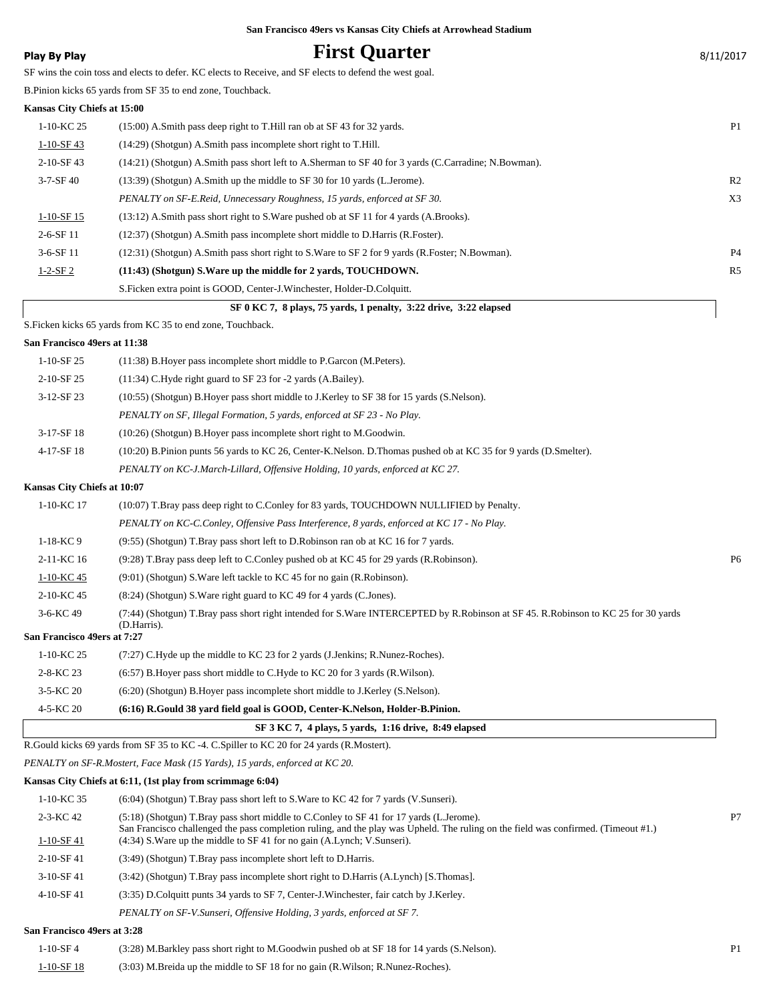## **Play By Play Play Play Play First Quarter** 8/11/2017

SF wins the coin toss and elects to defer. KC elects to Receive, and SF elects to defend the west goal.

B.Pinion kicks 65 yards from SF 35 to end zone, Touchback.

#### **Kansas City Chiefs at 15:00**

| SF 0 KC 7, 8 plays, 75 yards, 1 penalty, 3:22 drive, 3:22 elapsed |                                                                                                      |                |  |  |  |  |  |
|-------------------------------------------------------------------|------------------------------------------------------------------------------------------------------|----------------|--|--|--|--|--|
|                                                                   | S. Ficken extra point is GOOD, Center-J. Winchester, Holder-D. Colquitt.                             |                |  |  |  |  |  |
| $1 - 2 - SF2$                                                     | (11:43) (Shotgun) S. Ware up the middle for 2 yards, TOUCHDOWN.                                      | R <sub>5</sub> |  |  |  |  |  |
| $3-6-$ SF 11                                                      | (12:31) (Shotgun) A.Smith pass short right to S.Ware to SF 2 for 9 yards (R.Foster; N.Bowman).       | <b>P4</b>      |  |  |  |  |  |
| $2 - 6 - SF$ 11                                                   | (12:37) (Shotgun) A.Smith pass incomplete short middle to D.Harris (R.Foster).                       |                |  |  |  |  |  |
| $1-10-SF15$                                                       | $(13:12)$ A.Smith pass short right to S.Ware pushed ob at SF 11 for 4 yards (A.Brooks).              |                |  |  |  |  |  |
|                                                                   | PENALTY on SF-E.Reid, Unnecessary Roughness, 15 yards, enforced at SF 30.                            | X <sub>3</sub> |  |  |  |  |  |
| $3 - 7 - SF$ 40                                                   | (13:39) (Shotgun) A.Smith up the middle to SF 30 for 10 yards (L.Jerome).                            | R <sub>2</sub> |  |  |  |  |  |
| $2-10-SF$ 43                                                      | (14:21) (Shotgun) A.Smith pass short left to A.Sherman to SF 40 for 3 yards (C.Carradine; N.Bowman). |                |  |  |  |  |  |
| $1-10-SF$ 43                                                      | (14:29) (Shotgun) A.Smith pass incomplete short right to T.Hill.                                     |                |  |  |  |  |  |
| 1-10-KC 25                                                        | (15:00) A.Smith pass deep right to T.Hill ran ob at SF 43 for 32 yards.                              | P <sub>1</sub> |  |  |  |  |  |
|                                                                   |                                                                                                      |                |  |  |  |  |  |

S.Ficken kicks 65 yards from KC 35 to end zone, Touchback.

#### **San Francisco 49ers at 11:38**

| $1-10-SF25$                 | (11:38) B. Hover pass incomplete short middle to P. Garcon (M. Peters).                                         |
|-----------------------------|-----------------------------------------------------------------------------------------------------------------|
| $2-10-$ SF 25               | $(11:34)$ C. Hyde right guard to SF 23 for $-2$ vards $(A.Bailey)$ .                                            |
| $3-12-SF23$                 | (10:55) (Shotgun) B. Hover pass short middle to J. Kerley to SF 38 for 15 yards (S. Nelson).                    |
|                             | PENALTY on SF, Illegal Formation, 5 yards, enforced at SF 23 - No Play.                                         |
| $3-17-SF18$                 | $(10:26)$ (Shotgun) B. Hover pass incomplete short right to M. Goodwin.                                         |
| 4-17-SF 18                  | (10:20) B.Pinion punts 56 yards to KC 26, Center-K.Nelson. D.Thomas pushed ob at KC 35 for 9 yards (D.Smelter). |
|                             | PENALTY on KC-J.March-Lillard, Offensive Holding, 10 yards, enforced at KC 27.                                  |
| Kansas City Chiefs at 10:07 |                                                                                                                 |
| $1-10-KC$ 17                | (10:07) T.Bray pass deep right to C.Conley for 83 yards, TOUCHDOWN NULLIFIED by Penalty.                        |

*PENALTY on KC-C.Conley, Offensive Pass Interference, 8 yards, enforced at KC 17 - No Play.*

1-18-KC 9 (9:55) (Shotgun) T.Bray pass short left to D.Robinson ran ob at KC 16 for 7 yards.

2-11-KC 16 (9:28) T.Bray pass deep left to C.Conley pushed ob at KC 45 for 29 yards (R.Robinson). P6

- 1-10-KC 45 (9:01) (Shotgun) S.Ware left tackle to KC 45 for no gain (R.Robinson).
- 2-10-KC 45 (8:24) (Shotgun) S.Ware right guard to KC 49 for 4 yards (C.Jones).

(7:44) (Shotgun) T.Bray pass short right intended for S.Ware INTERCEPTED by R.Robinson at SF 45. R.Robinson to KC 25 for 30 yards (D.Harris). 3-6-KC 49

#### **San Francisco 49ers at 7:27**

| 1-10-KC 25 | $(7:27)$ C.Hyde up the middle to KC 23 for 2 yards (J.Jenkins; R.Nunez-Roches).  |
|------------|----------------------------------------------------------------------------------|
| 2-8-KC 23  | $(6.57)$ B. Hover pass short middle to C. Hyde to KC 20 for 3 yards (R. Wilson). |

3-5-KC 20 (6:20) (Shotgun) B.Hoyer pass incomplete short middle to J.Kerley (S.Nelson).

#### 4-5-KC 20 **(6:16) R.Gould 38 yard field goal is GOOD, Center-K.Nelson, Holder-B.Pinion.**

|  |  |  |  |  |  | SF 3 KC 7, 4 plays, 5 yards, 1:16 drive, 8:49 elapsed |
|--|--|--|--|--|--|-------------------------------------------------------|
|  |  |  |  |  |  |                                                       |

R.Gould kicks 69 yards from SF 35 to KC -4. C.Spiller to KC 20 for 24 yards (R.Mostert).

*PENALTY on SF-R.Mostert, Face Mask (15 Yards), 15 yards, enforced at KC 20.*

### **Kansas City Chiefs at 6:11, (1st play from scrimmage 6:04)**

| $1-10-KC$ 35    | $(6.04)$ (Shotgun) T.Bray pass short left to S.Ware to KC 42 for 7 yards (V.Sunseri).                                                                                                                                         |                |
|-----------------|-------------------------------------------------------------------------------------------------------------------------------------------------------------------------------------------------------------------------------|----------------|
| $2 - 3 - KC 42$ | (5:18) (Shotgun) T.Bray pass short middle to C.Conley to SF 41 for 17 yards (L.Jerome).<br>San Francisco challenged the pass completion ruling, and the play was Upheld. The ruling on the field was confirmed. (Timeout #1.) | P <sub>7</sub> |
| $1-10-SF41$     | $(4:34)$ S. Ware up the middle to SF 41 for no gain $(A.L$ ynch; V. Sunseri).                                                                                                                                                 |                |
| $2-10-$ SF41    | (3:49) (Shotgun) T.Bray pass incomplete short left to D.Harris.                                                                                                                                                               |                |
| $3-10-$ SF 41   | (3:42) (Shotgun) T.Bray pass incomplete short right to D.Harris (A.Lynch) [S.Thomas].                                                                                                                                         |                |
| $4-10-$ SF 41   | (3:35) D. Colquitt punts 34 yards to SF 7, Center-J. Winchester, fair catch by J. Kerley.                                                                                                                                     |                |
|                 | PENALTY on SF-V. Sunseri, Offensive Holding, 3 yards, enforced at SF 7.                                                                                                                                                       |                |
|                 |                                                                                                                                                                                                                               |                |

#### **San Francisco 49ers at 3:28**

| $1 - 10 - SF4$ | (3:28) M.Barkley pass short right to M.Goodwin pushed ob at SF 18 for 14 yards (S.Nelson). |  |
|----------------|--------------------------------------------------------------------------------------------|--|
| 1-10-SF 18     | (3:03) M.Breida up the middle to SF 18 for no gain (R.Wilson; R.Nunez-Roches).             |  |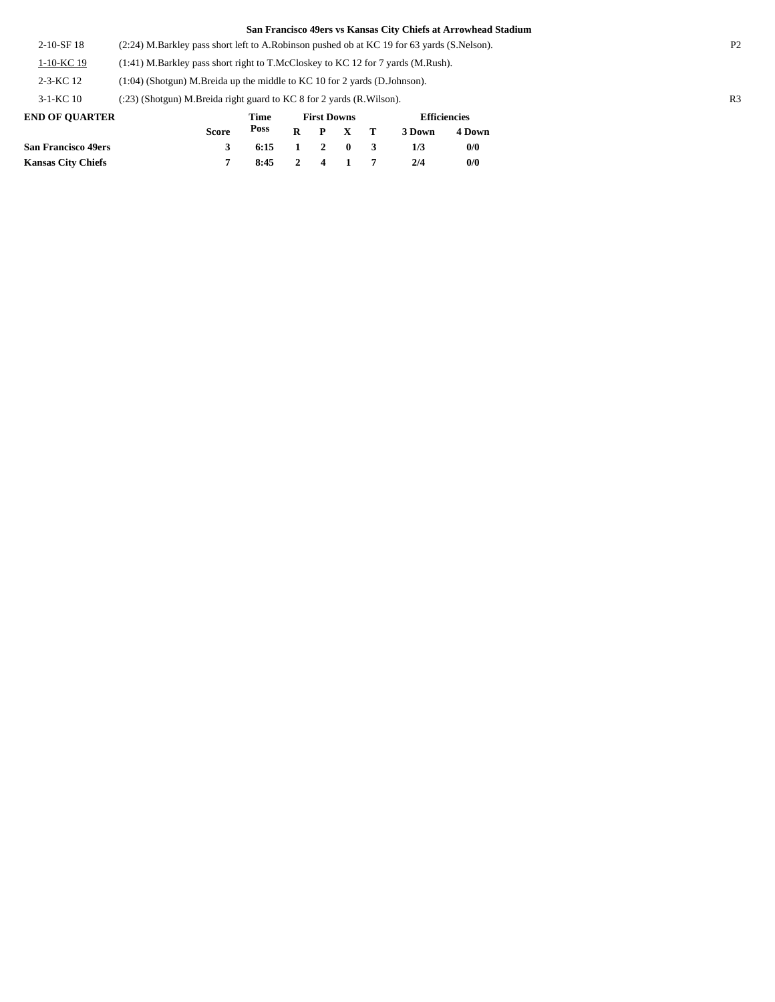2-10-SF 18 (2:24) M.Barkley pass short left to A.Robinson pushed ob at KC 19 for 63 yards (S.Nelson). P2

1-10-KC 19 (1:41) M.Barkley pass short right to T.McCloskey to KC 12 for 7 yards (M.Rush).

2-3-KC 12 (1:04) (Shotgun) M.Breida up the middle to KC 10 for 2 yards (D.Johnson).

3-1-KC 10 (:23) (Shotgun) M.Breida right guard to KC 8 for 2 yards (R.Wilson). R3

| <b>END OF OUARTER</b>      |              | Time<br>Poss           |  | <b>First Downs</b> | <b>Efficiencies</b> |        |  |
|----------------------------|--------------|------------------------|--|--------------------|---------------------|--------|--|
|                            | <b>Score</b> |                        |  | $R$ $P$ $X$ $T$    | 3 Down              | 4 Down |  |
| <b>San Francisco 49ers</b> | 3            | $6:15 \t1 \t2 \t0 \t3$ |  |                    | 173                 | 0/0    |  |
| <b>Kansas City Chiefs</b>  |              | 8:45 2 4 1 7           |  |                    | 2/4                 | 0/0    |  |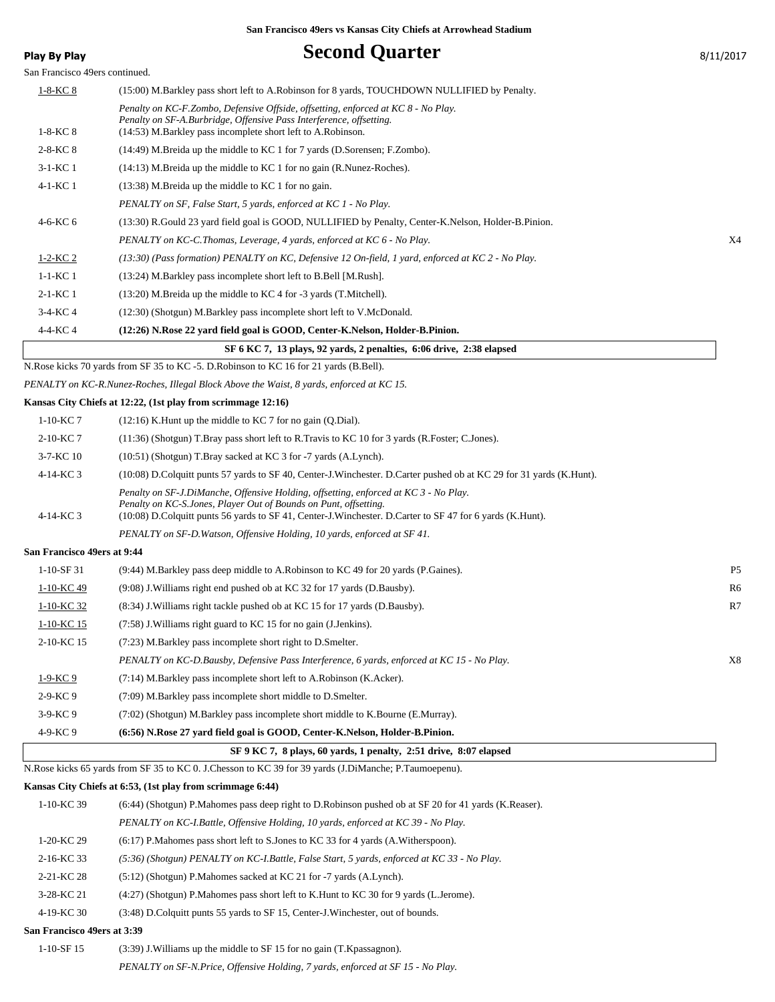## **Play By Play Play Play Becond Quarter** 8/11/2017

|  |  | <b>DLLI</b> |  |  |
|--|--|-------------|--|--|
|  |  |             |  |  |

|  | 8/11/201 |  |
|--|----------|--|
|  |          |  |

| San Francisco 49ers continued. |                                                                                                                                                                                                                                                                      |                |
|--------------------------------|----------------------------------------------------------------------------------------------------------------------------------------------------------------------------------------------------------------------------------------------------------------------|----------------|
| <u>1-8-KC 8</u>                | (15:00) M.Barkley pass short left to A.Robinson for 8 yards, TOUCHDOWN NULLIFIED by Penalty.                                                                                                                                                                         |                |
| $1-8-KC$ 8                     | Penalty on KC-F.Zombo, Defensive Offside, offsetting, enforced at KC 8 - No Play.<br>Penalty on SF-A.Burbridge, Offensive Pass Interference, offsetting.<br>(14:53) M.Barkley pass incomplete short left to A.Robinson.                                              |                |
| $2 - 8 - KC 8$                 | (14:49) M.Breida up the middle to KC 1 for 7 yards (D.Sorensen; F.Zombo).                                                                                                                                                                                            |                |
| $3-1-KC$ 1                     | $(14:13)$ M.Breida up the middle to KC 1 for no gain (R.Nunez-Roches).                                                                                                                                                                                               |                |
| 4-1-KC 1                       | $(13:38)$ M.Breida up the middle to KC 1 for no gain.                                                                                                                                                                                                                |                |
|                                | PENALTY on SF, False Start, 5 yards, enforced at KC 1 - No Play.                                                                                                                                                                                                     |                |
| 4-6-KC 6                       | (13:30) R.Gould 23 yard field goal is GOOD, NULLIFIED by Penalty, Center-K.Nelson, Holder-B.Pinion.                                                                                                                                                                  |                |
|                                | PENALTY on KC-C.Thomas, Leverage, 4 yards, enforced at KC 6 - No Play.                                                                                                                                                                                               | X4             |
| $1-2-KC2$                      | $(13:30)$ (Pass formation) PENALTY on KC, Defensive 12 On-field, 1 yard, enforced at KC 2 - No Play.                                                                                                                                                                 |                |
| $1-1-KC$ 1                     | (13:24) M.Barkley pass incomplete short left to B.Bell [M.Rush].                                                                                                                                                                                                     |                |
| 2-1-KC 1                       | $(13:20)$ M.Breida up the middle to KC 4 for -3 yards (T.Mitchell).                                                                                                                                                                                                  |                |
| $3-4-KC$ 4                     | (12:30) (Shotgun) M.Barkley pass incomplete short left to V.McDonald.                                                                                                                                                                                                |                |
| 4-4-KC 4                       | (12:26) N.Rose 22 yard field goal is GOOD, Center-K.Nelson, Holder-B.Pinion.                                                                                                                                                                                         |                |
|                                | SF 6 KC 7, 13 plays, 92 yards, 2 penalties, 6:06 drive, 2:38 elapsed                                                                                                                                                                                                 |                |
|                                | N.Rose kicks 70 yards from SF 35 to KC -5. D.Robinson to KC 16 for 21 yards (B.Bell).                                                                                                                                                                                |                |
|                                | PENALTY on KC-R.Nunez-Roches, Illegal Block Above the Waist, 8 yards, enforced at KC 15.                                                                                                                                                                             |                |
|                                | Kansas City Chiefs at 12:22, (1st play from scrimmage 12:16)                                                                                                                                                                                                         |                |
| $1-10-KC$ 7                    | $(12:16)$ K. Hunt up the middle to KC 7 for no gain $(Q.Dial)$ .                                                                                                                                                                                                     |                |
| 2-10-KC 7                      | (11:36) (Shotgun) T.Bray pass short left to R.Travis to KC 10 for 3 yards (R.Foster; C.Jones).                                                                                                                                                                       |                |
| 3-7-KC 10                      | $(10:51)$ (Shotgun) T.Bray sacked at KC 3 for -7 yards (A.Lynch).                                                                                                                                                                                                    |                |
| 4-14-KC 3                      | (10:08) D.Colquitt punts 57 yards to SF 40, Center-J.Winchester. D.Carter pushed ob at KC 29 for 31 yards (K.Hunt).                                                                                                                                                  |                |
| 4-14-KC 3                      | Penalty on SF-J.DiManche, Offensive Holding, offsetting, enforced at KC 3 - No Play.<br>Penalty on KC-S.Jones, Player Out of Bounds on Punt, offsetting.<br>(10:08) D.Colquitt punts 56 yards to SF 41, Center-J.Winchester. D.Carter to SF 47 for 6 yards (K.Hunt). |                |
|                                | PENALTY on SF-D. Watson, Offensive Holding, 10 yards, enforced at SF 41.                                                                                                                                                                                             |                |
| San Francisco 49ers at 9:44    |                                                                                                                                                                                                                                                                      |                |
| $1-10-SF31$                    | (9:44) M.Barkley pass deep middle to A.Robinson to KC 49 for 20 yards (P.Gaines).                                                                                                                                                                                    | P <sub>5</sub> |
| $1-10-KC$ 49                   | (9:08) J. Williams right end pushed ob at KC 32 for 17 yards (D. Bausby).                                                                                                                                                                                            | R <sub>6</sub> |
| 1-10-KC 32                     | (8.34) J. Williams right tackle pushed ob at KC 15 for 17 yards (D. Bausby).                                                                                                                                                                                         | R7             |
| 1-10-KC 15                     | (7:58) J. Williams right guard to KC 15 for no gain (J. Jenkins).                                                                                                                                                                                                    |                |
| 2-10-KC 15                     | (7:23) M.Barkley pass incomplete short right to D.Smelter.                                                                                                                                                                                                           |                |
|                                | PENALTY on KC-D.Bausby, Defensive Pass Interference, 6 yards, enforced at KC 15 - No Play.                                                                                                                                                                           | X8             |
| $1-9-KC$ 9                     | (7:14) M.Barkley pass incomplete short left to A.Robinson (K.Acker).                                                                                                                                                                                                 |                |
| 2-9-KC9                        | (7:09) M.Barkley pass incomplete short middle to D.Smelter.                                                                                                                                                                                                          |                |
| $3-9-KC$ 9                     | (7:02) (Shotgun) M.Barkley pass incomplete short middle to K.Bourne (E.Murray).                                                                                                                                                                                      |                |
| 4-9-KC9                        | (6:56) N.Rose 27 yard field goal is GOOD, Center-K.Nelson, Holder-B.Pinion.                                                                                                                                                                                          |                |
|                                | SF 9 KC 7, 8 plays, 60 yards, 1 penalty, 2:51 drive, 8:07 elapsed                                                                                                                                                                                                    |                |
|                                | N.Rose kicks 65 yards from SF 35 to KC 0. J.Chesson to KC 39 for 39 yards (J.DiManche; P.Taumoepenu).                                                                                                                                                                |                |
|                                | Kansas City Chiefs at 6:53, (1st play from scrimmage 6:44)                                                                                                                                                                                                           |                |
| 1-10-KC 39                     | (6:44) (Shotgun) P.Mahomes pass deep right to D.Robinson pushed ob at SF 20 for 41 yards (K.Reaser).                                                                                                                                                                 |                |
|                                | PENALTY on KC-I.Battle, Offensive Holding, 10 yards, enforced at KC 39 - No Play.                                                                                                                                                                                    |                |

1-20-KC 29 (6:17) P.Mahomes pass short left to S.Jones to KC 33 for 4 yards (A.Witherspoon).

- 2-16-KC 33 *(5:36) (Shotgun) PENALTY on KC-I.Battle, False Start, 5 yards, enforced at KC 33 No Play.*
- 2-21-KC 28 (5:12) (Shotgun) P.Mahomes sacked at KC 21 for -7 yards (A.Lynch).
- 3-28-KC 21 (4:27) (Shotgun) P.Mahomes pass short left to K.Hunt to KC 30 for 9 yards (L.Jerome).
- 4-19-KC 30 (3:48) D.Colquitt punts 55 yards to SF 15, Center-J.Winchester, out of bounds.

### **San Francisco 49ers at 3:39**

1-10-SF 15 (3:39) J.Williams up the middle to SF 15 for no gain (T.Kpassagnon). *PENALTY on SF-N.Price, Offensive Holding, 7 yards, enforced at SF 15 - No Play.*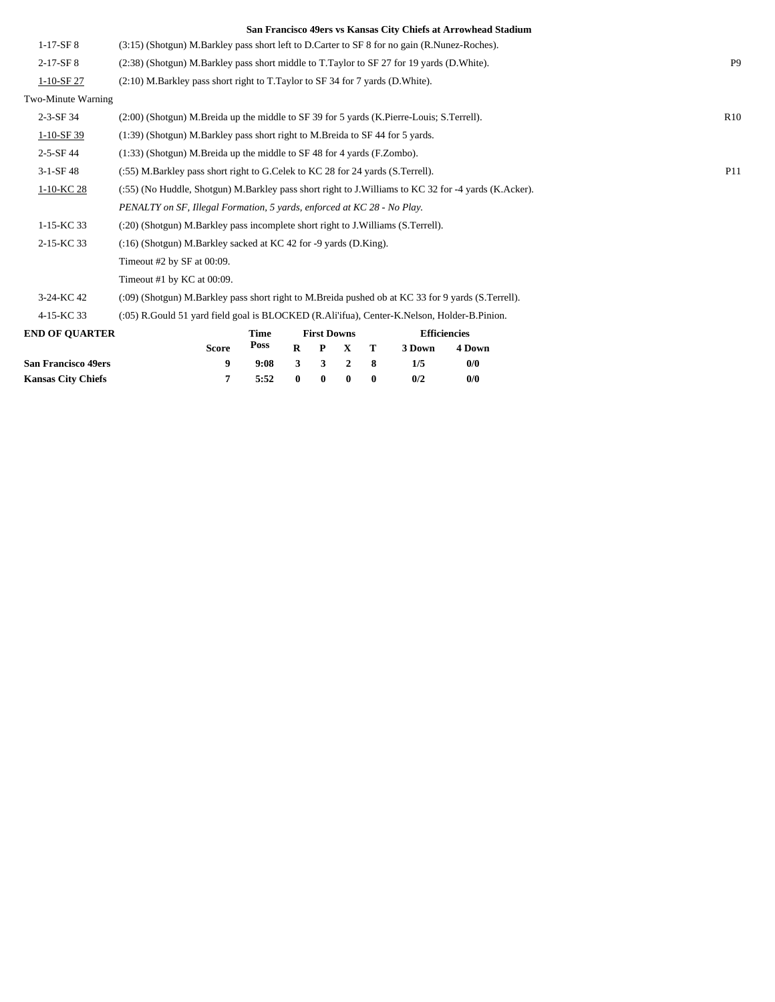|                            |                                                                                                      |                                                                                  |   |                    |   |   |        | San Francisco 49ers vs Kansas City Chiefs at Arrowhead Stadium |  |                |
|----------------------------|------------------------------------------------------------------------------------------------------|----------------------------------------------------------------------------------|---|--------------------|---|---|--------|----------------------------------------------------------------|--|----------------|
| $1-17-SF8$                 | (3:15) (Shotgun) M.Barkley pass short left to D.Carter to SF 8 for no gain (R.Nunez-Roches).         |                                                                                  |   |                    |   |   |        |                                                                |  |                |
| $2-17-SF8$                 | (2:38) (Shotgun) M.Barkley pass short middle to T.Taylor to SF 27 for 19 yards (D.White).            |                                                                                  |   |                    |   |   |        |                                                                |  | P <sub>9</sub> |
| 1-10-SF 27                 | (2:10) M.Barkley pass short right to T.Taylor to SF 34 for 7 yards (D.White).                        |                                                                                  |   |                    |   |   |        |                                                                |  |                |
| Two-Minute Warning         |                                                                                                      |                                                                                  |   |                    |   |   |        |                                                                |  |                |
| 2-3-SF 34                  | (2:00) (Shotgun) M.Breida up the middle to SF 39 for 5 yards (K.Pierre-Louis; S.Terrell).            |                                                                                  |   |                    |   |   |        |                                                                |  | R10            |
| 1-10-SF 39                 | (1:39) (Shotgun) M.Barkley pass short right to M.Breida to SF 44 for 5 yards.                        |                                                                                  |   |                    |   |   |        |                                                                |  |                |
| $2 - 5 - SF$ 44            | (1:33) (Shotgun) M.Breida up the middle to SF 48 for 4 yards (F.Zombo).                              |                                                                                  |   |                    |   |   |        |                                                                |  |                |
| $3-1-SF48$                 | (:55) M.Barkley pass short right to G.Celek to KC 28 for 24 yards (S.Terrell).                       |                                                                                  |   |                    |   |   |        |                                                                |  | P11            |
| 1-10-KC 28                 | (:55) (No Huddle, Shotgun) M.Barkley pass short right to J.Williams to KC 32 for -4 yards (K.Acker). |                                                                                  |   |                    |   |   |        |                                                                |  |                |
|                            | PENALTY on SF, Illegal Formation, 5 yards, enforced at KC 28 - No Play.                              |                                                                                  |   |                    |   |   |        |                                                                |  |                |
| $1-15-KC$ 33               |                                                                                                      | (:20) (Shotgun) M.Barkley pass incomplete short right to J.Williams (S.Terrell). |   |                    |   |   |        |                                                                |  |                |
| 2-15-KC 33                 | (:16) (Shotgun) M.Barkley sacked at KC 42 for -9 yards (D.King).                                     |                                                                                  |   |                    |   |   |        |                                                                |  |                |
|                            | Timeout #2 by SF at $00:09$ .                                                                        |                                                                                  |   |                    |   |   |        |                                                                |  |                |
|                            | Timeout #1 by KC at 00:09.                                                                           |                                                                                  |   |                    |   |   |        |                                                                |  |                |
| 3-24-KC 42                 | (09) (Shotgun) M.Barkley pass short right to M.Breida pushed ob at KC 33 for 9 yards (S.Terrell).    |                                                                                  |   |                    |   |   |        |                                                                |  |                |
| 4-15-KC 33                 | (:05) R.Gould 51 yard field goal is BLOCKED (R.Ali'ifua), Center-K.Nelson, Holder-B.Pinion.          |                                                                                  |   |                    |   |   |        |                                                                |  |                |
| <b>END OF QUARTER</b>      |                                                                                                      | Time                                                                             |   | <b>First Downs</b> |   |   |        | <b>Efficiencies</b>                                            |  |                |
|                            | <b>Score</b>                                                                                         | <b>Poss</b>                                                                      | R | P                  | X | т | 3 Down | 4 Down                                                         |  |                |
| <b>San Francisco 49ers</b> | 9                                                                                                    | 9:08                                                                             | 3 | 3                  | 2 | 8 | 1/5    | 0/0                                                            |  |                |

**Kansas City Chiefs 7 5:52 0 0 0 0 0/2 0/0**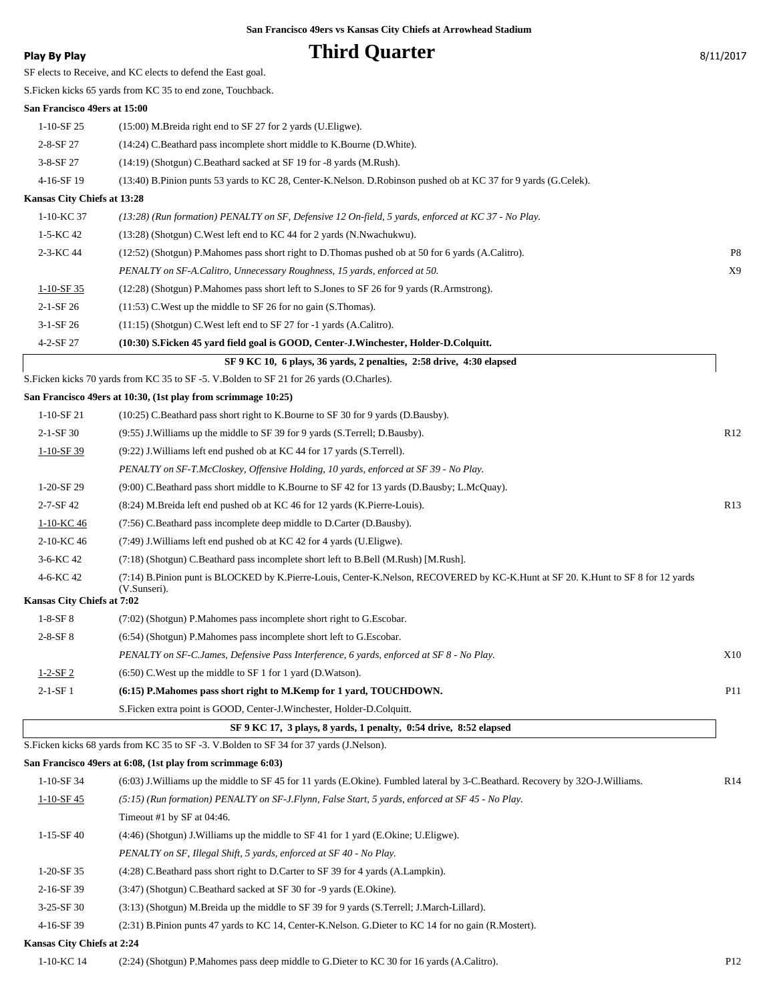## **Phird Quarter** 8/11/2017

| <b>Play By Play</b> |  |  |
|---------------------|--|--|
|---------------------|--|--|

SF elects to Receive, and KC elects to defend the East goal.

S.Ficken kicks 65 yards from KC 35 to end zone, Touchback.

#### **San Francisco 49ers at 15:00**

| $1-10-$ SF 25               | $(15:00)$ M. Breida right end to SF 27 for 2 yards (U. Eligwe).                                                 |  |  |  |
|-----------------------------|-----------------------------------------------------------------------------------------------------------------|--|--|--|
| $2 - 8 - SF 27$             | (14:24) C.Beathard pass incomplete short middle to K.Bourne (D.White).                                          |  |  |  |
| $3-8-$ SF 27                | $(14:19)$ (Shotgun) C.Beathard sacked at SF 19 for -8 yards (M.Rush).                                           |  |  |  |
| 4-16-SF 19                  | (13:40) B.Pinion punts 53 yards to KC 28, Center-K.Nelson. D.Robinson pushed ob at KC 37 for 9 yards (G.Celek). |  |  |  |
| Kansas City Chiefs at 13:28 |                                                                                                                 |  |  |  |
| 1-10-KC 37                  | $(13:28)$ (Run formation) PENALTY on SF, Defensive 12 On-field, 5 vards, enforced at KC 37 - No Play.           |  |  |  |

| SF 9 KC 10, 6 plays, 36 yards, 2 penalties, 2:58 drive, 4:30 elapsed |                                                                                                      |    |  |  |
|----------------------------------------------------------------------|------------------------------------------------------------------------------------------------------|----|--|--|
| $4 - 2 - SF 27$                                                      | (10:30) S.Ficken 45 yard field goal is GOOD, Center-J.Winchester, Holder-D.Colquitt.                 |    |  |  |
| $3-1-SF26$                                                           | $(11:15)$ (Shotgun) C. West left end to SF 27 for -1 yards (A.Calitro).                              |    |  |  |
| $2 - 1 - SF 26$                                                      | $(11:53)$ C. West up the middle to SF 26 for no gain (S. Thomas).                                    |    |  |  |
| $1-10-SF$ 35                                                         | (12:28) (Shotgun) P. Mahomes pass short left to S. Jones to SF 26 for 9 yards (R. Armstrong).        |    |  |  |
|                                                                      | PENALTY on SF-A.Calitro, Unnecessary Roughness, 15 yards, enforced at 50.                            | X9 |  |  |
| $2-3-KC$ 44                                                          | (12:52) (Shotgun) P. Mahomes pass short right to D. Thomas pushed ob at 50 for 6 yards (A. Calitro). | P8 |  |  |
| $1-5-KC$ 42                                                          | (13:28) (Shotgun) C. West left end to KC 44 for 2 yards (N. Nwachukwu).                              |    |  |  |
| .                                                                    |                                                                                                      |    |  |  |

S.Ficken kicks 70 yards from KC 35 to SF -5. V.Bolden to SF 21 for 26 yards (O.Charles).

### **San Francisco 49ers at 10:30, (1st play from scrimmage 10:25)**

|                            | San Francisco 49ers at 10:50, (1st play from scriminage 10:25)                                                                                   |                 |
|----------------------------|--------------------------------------------------------------------------------------------------------------------------------------------------|-----------------|
| $1-10-SF21$                | (10:25) C.Beathard pass short right to K.Bourne to SF 30 for 9 yards (D.Bausby).                                                                 |                 |
| $2-1-SF30$                 | (9:55) J. Williams up the middle to SF 39 for 9 yards (S. Terrell; D. Bausby).                                                                   | R <sub>12</sub> |
| $1-10-SF39$                | (9:22) J. Williams left end pushed ob at KC 44 for 17 yards (S. Terrell).                                                                        |                 |
|                            | PENALTY on SF-T.McCloskey, Offensive Holding, 10 yards, enforced at SF 39 - No Play.                                                             |                 |
| $1-20-SF29$                | (9:00) C.Beathard pass short middle to K.Bourne to SF 42 for 13 yards (D.Bausby; L.McQuay).                                                      |                 |
| 2-7-SF 42                  | (8:24) M.Breida left end pushed ob at KC 46 for 12 yards (K.Pierre-Louis).                                                                       | R13             |
| 1-10-KC 46                 | (7:56) C.Beathard pass incomplete deep middle to D.Carter (D.Bausby).                                                                            |                 |
| 2-10-KC 46                 | (7:49) J. Williams left end pushed ob at KC 42 for 4 yards (U. Eligwe).                                                                          |                 |
| 3-6-KC 42                  | (7:18) (Shotgun) C.Beathard pass incomplete short left to B.Bell (M.Rush) [M.Rush].                                                              |                 |
| 4-6-KC 42                  | (7:14) B.Pinion punt is BLOCKED by K.Pierre-Louis, Center-K.Nelson, RECOVERED by KC-K.Hunt at SF 20. K.Hunt to SF 8 for 12 yards<br>(V.Sunseri). |                 |
| Kansas City Chiefs at 7:02 |                                                                                                                                                  |                 |
| $1-8-SF8$                  | (7:02) (Shotgun) P.Mahomes pass incomplete short right to G.Escobar.                                                                             |                 |
| $2 - 8 - SF 8$             | (6:54) (Shotgun) P.Mahomes pass incomplete short left to G.Escobar.                                                                              |                 |
|                            | PENALTY on SF-C.James, Defensive Pass Interference, 6 yards, enforced at SF 8 - No Play.                                                         | X10             |
| $1 - 2 - SF2$              | $(6:50)$ C. West up the middle to SF 1 for 1 yard (D. Watson).                                                                                   |                 |
| $2-1-SF1$                  | (6:15) P.Mahomes pass short right to M.Kemp for 1 yard, TOUCHDOWN.                                                                               | <b>P11</b>      |
|                            | S. Ficken extra point is GOOD, Center-J. Winchester, Holder-D. Colquitt.                                                                         |                 |

## **SF 9 KC 17, 3 plays, 8 yards, 1 penalty, 0:54 drive, 8:52 elapsed** S.Ficken kicks 68 yards from KC 35 to SF -3. V.Bolden to SF 34 for 37 yards (J.Nelson).

|                            | San Francisco 49ers at 6:08, (1st play from scrimmage 6:03)                                                                     |     |
|----------------------------|---------------------------------------------------------------------------------------------------------------------------------|-----|
| $1-10-SF$ 34               | (6:03) J. Williams up the middle to SF 45 for 11 yards (E.Okine). Fumbled lateral by 3-C.Beathard. Recovery by 32O-J. Williams. | R14 |
| $1-10-SF$ 45               | $(5:15)$ (Run formation) PENALTY on SF-J.Flynn, False Start, 5 yards, enforced at SF 45 - No Play.                              |     |
|                            | Timeout #1 by SF at $04:46$ .                                                                                                   |     |
| $1-15-SF40$                | $(4:46)$ (Shotgun) J. Williams up the middle to SF 41 for 1 yard (E.Okine; U.Eligwe).                                           |     |
|                            | PENALTY on SF, Illegal Shift, 5 yards, enforced at SF 40 - No Play.                                                             |     |
| $1-20-SF35$                | (4.28) C.Beathard pass short right to D.Carter to SF 39 for 4 yards (A.Lampkin).                                                |     |
| $2-16-SF39$                | (3:47) (Shotgun) C.Beathard sacked at SF 30 for -9 yards (E.Okine).                                                             |     |
| $3-25-SF30$                | (3.13) (Shotgun) M.Breida up the middle to SF 39 for 9 yards (S.Terrell; J.March-Lillard).                                      |     |
| 4-16-SF 39                 | $(2:31)$ B. Pinion punts 47 yards to KC 14, Center-K. Nelson. G. Dieter to KC 14 for no gain (R. Mostert).                      |     |
| Kansas City Chiefs at 2:24 |                                                                                                                                 |     |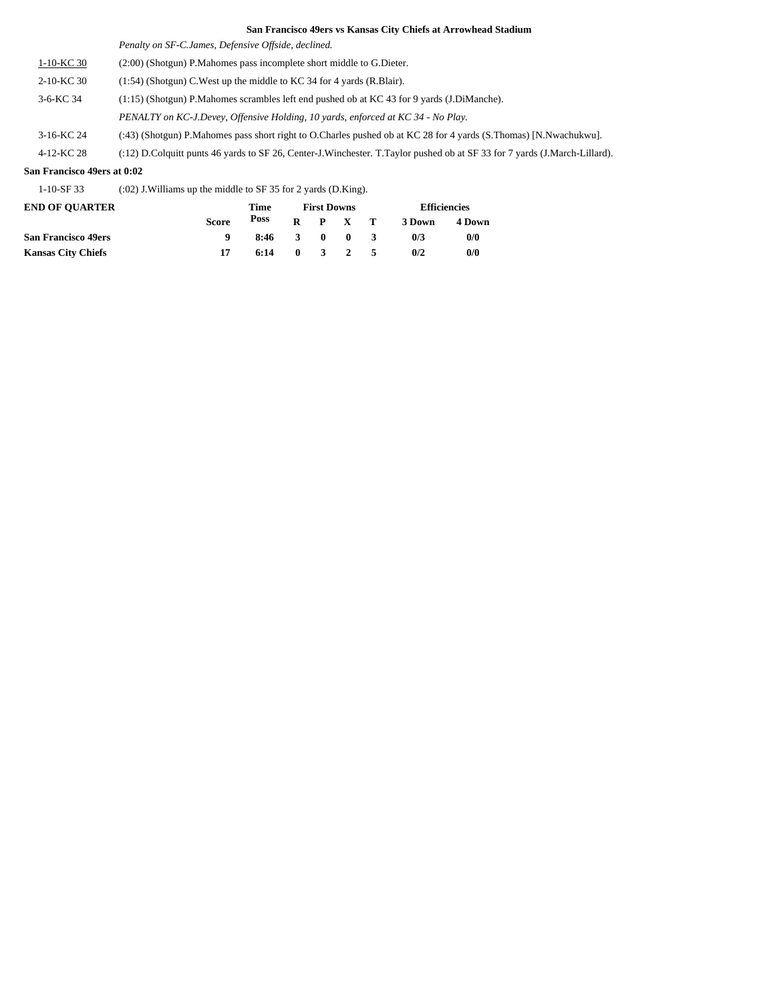*Penalty on SF-C.James, Defensive Offside, declined.*

1-10-KC 30 (2:00) (Shotgun) P.Mahomes pass incomplete short middle to G.Dieter.

2-10-KC 30 (1:54) (Shotgun) C.West up the middle to KC 34 for 4 yards (R.Blair).

3-6-KC 34 (1:15) (Shotgun) P.Mahomes scrambles left end pushed ob at KC 43 for 9 yards (J.DiManche).

*PENALTY on KC-J.Devey, Offensive Holding, 10 yards, enforced at KC 34 - No Play.*

3-16-KC 24 (:43) (Shotgun) P.Mahomes pass short right to O.Charles pushed ob at KC 28 for 4 yards (S.Thomas) [N.Nwachukwu].

4-12-KC 28 (:12) D.Colquitt punts 46 yards to SF 26, Center-J.Winchester. T.Taylor pushed ob at SF 33 for 7 yards (J.March-Lillard).

#### **San Francisco 49ers at 0:02**

1-10-SF 33 (:02) J.Williams up the middle to SF 35 for 2 yards (D.King).

| <b>END OF OUARTER</b>      |              | Time |              |              | <b>First Downs</b> |                | <b>Efficiencies</b> |        |  |
|----------------------------|--------------|------|--------------|--------------|--------------------|----------------|---------------------|--------|--|
|                            | <b>Score</b> | Poss |              |              | $R$ $P$ $X$ $T$    |                | 3 Down              | 4 Down |  |
| <b>San Francisco 49ers</b> |              | 8:46 | -3           | $\mathbf{0}$ | $\mathbf{0}$       | $\overline{3}$ | 0/3                 | 0/0    |  |
| <b>Kansas City Chiefs</b>  |              | 6:14 | $\mathbf{0}$ |              | 3 2 5              |                | 0/2                 | 0/0    |  |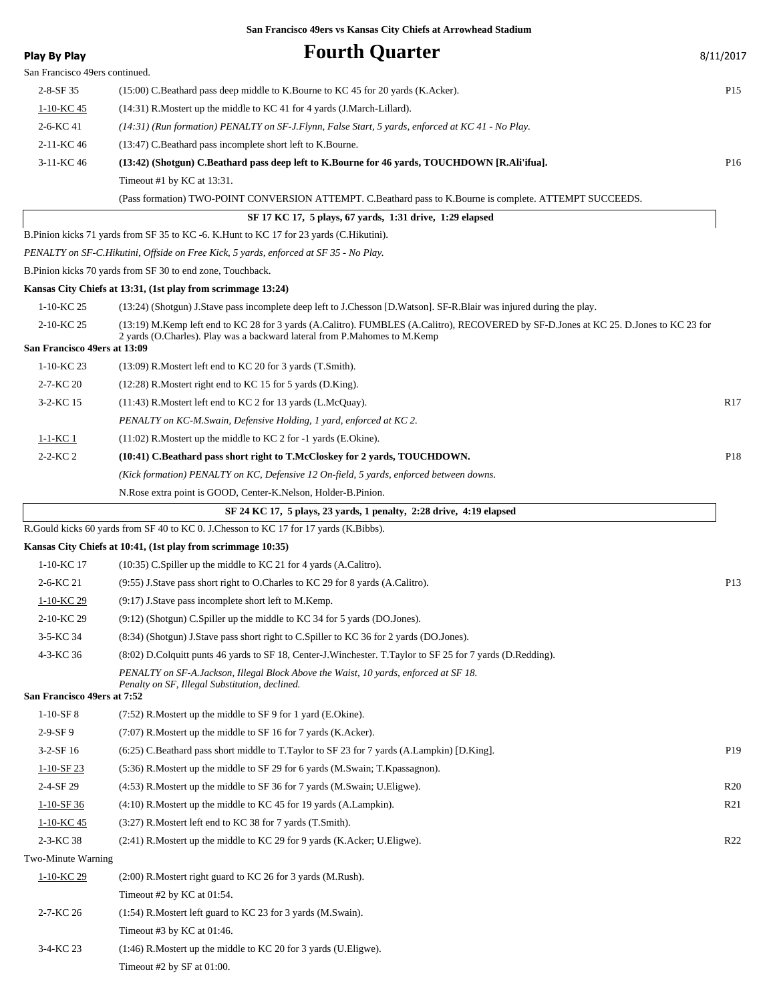| <b>Play By Play</b>            | <b>Fourth Quarter</b>                                                                                                                                                                                              | 8/11/2017       |
|--------------------------------|--------------------------------------------------------------------------------------------------------------------------------------------------------------------------------------------------------------------|-----------------|
| San Francisco 49ers continued. |                                                                                                                                                                                                                    |                 |
| $2 - 8 - SF 35$                | (15:00) C.Beathard pass deep middle to K.Bourne to KC 45 for 20 yards (K.Acker).                                                                                                                                   | P <sub>15</sub> |
| 1-10-KC 45                     | $(14:31)$ R. Mostert up the middle to KC 41 for 4 yards (J. March-Lillard).                                                                                                                                        |                 |
| 2-6-KC 41                      | (14:31) (Run formation) PENALTY on SF-J.Flynn, False Start, 5 yards, enforced at KC 41 - No Play.                                                                                                                  |                 |
| 2-11-KC 46                     | (13:47) C.Beathard pass incomplete short left to K.Bourne.                                                                                                                                                         |                 |
| 3-11-KC 46                     | (13:42) (Shotgun) C.Beathard pass deep left to K.Bourne for 46 yards, TOUCHDOWN [R.Ali'ifua].                                                                                                                      | P <sub>16</sub> |
|                                | Timeout #1 by KC at 13:31.                                                                                                                                                                                         |                 |
|                                | (Pass formation) TWO-POINT CONVERSION ATTEMPT. C.Beathard pass to K.Bourne is complete. ATTEMPT SUCCEEDS.                                                                                                          |                 |
|                                | SF 17 KC 17, 5 plays, 67 yards, 1:31 drive, 1:29 elapsed                                                                                                                                                           |                 |
|                                | B.Pinion kicks 71 yards from SF 35 to KC -6. K.Hunt to KC 17 for 23 yards (C.Hikutini).                                                                                                                            |                 |
|                                | PENALTY on SF-C.Hikutini, Offside on Free Kick, 5 yards, enforced at SF 35 - No Play.                                                                                                                              |                 |
|                                | B.Pinion kicks 70 yards from SF 30 to end zone, Touchback.                                                                                                                                                         |                 |
|                                | Kansas City Chiefs at 13:31, (1st play from scrimmage 13:24)                                                                                                                                                       |                 |
| 1-10-KC 25                     | (13:24) (Shotgun) J.Stave pass incomplete deep left to J.Chesson [D.Watson]. SF-R.Blair was injured during the play.                                                                                               |                 |
| 2-10-KC 25                     | (13:19) M.Kemp left end to KC 28 for 3 yards (A.Calitro). FUMBLES (A.Calitro), RECOVERED by SF-D.Jones at KC 25. D.Jones to KC 23 for<br>2 yards (O.Charles). Play was a backward lateral from P.Mahomes to M.Kemp |                 |
| San Francisco 49ers at 13:09   |                                                                                                                                                                                                                    |                 |
| 1-10-KC 23                     | $(13:09)$ R. Mostert left end to KC 20 for 3 yards $(T.Smith)$ .                                                                                                                                                   |                 |
| 2-7-KC 20                      | $(12:28)$ R. Mostert right end to KC 15 for 5 yards (D. King).                                                                                                                                                     |                 |
| 3-2-KC 15                      | $(11:43)$ R. Mostert left end to KC 2 for 13 yards (L. McQuay).                                                                                                                                                    | R17             |
|                                | PENALTY on KC-M.Swain, Defensive Holding, 1 yard, enforced at KC 2.                                                                                                                                                |                 |
| <u>1-1-KC 1</u>                | $(11:02)$ R. Mostert up the middle to KC 2 for -1 yards (E. Okine).                                                                                                                                                |                 |
| $2 - 2 - KC 2$                 | (10:41) C.Beathard pass short right to T.McCloskey for 2 yards, TOUCHDOWN.                                                                                                                                         | P <sub>18</sub> |
|                                | (Kick formation) PENALTY on KC, Defensive 12 On-field, 5 yards, enforced between downs.                                                                                                                            |                 |
|                                | N. Rose extra point is GOOD, Center-K. Nelson, Holder-B. Pinion.                                                                                                                                                   |                 |
|                                | SF 24 KC 17, 5 plays, 23 yards, 1 penalty, 2:28 drive, 4:19 elapsed                                                                                                                                                |                 |
|                                | R.Gould kicks 60 yards from SF 40 to KC 0. J.Chesson to KC 17 for 17 yards (K.Bibbs).                                                                                                                              |                 |
|                                | Kansas City Chiefs at 10:41, (1st play from scrimmage 10:35)                                                                                                                                                       |                 |
| 1-10-KC 17                     | $(10:35)$ C. Spiller up the middle to KC 21 for 4 yards (A. Calitro).                                                                                                                                              |                 |
| 2-6-KC 21                      | $(9.55)$ J.Stave pass short right to O.Charles to KC 29 for 8 yards (A.Calitro).                                                                                                                                   | P13             |
| 1-10-KC 29                     | (9:17) J. Stave pass incomplete short left to M. Kemp.                                                                                                                                                             |                 |
| 2-10-KC 29                     | (9:12) (Shotgun) C.Spiller up the middle to KC 34 for 5 yards (DO.Jones).                                                                                                                                          |                 |
| 3-5-KC 34                      | (8:34) (Shotgun) J.Stave pass short right to C.Spiller to KC 36 for 2 yards (DO.Jones).                                                                                                                            |                 |
| 4-3-KC 36                      | (8:02) D.Colquitt punts 46 yards to SF 18, Center-J.Winchester. T.Taylor to SF 25 for 7 yards (D.Redding).                                                                                                         |                 |
|                                | PENALTY on SF-A.Jackson, Illegal Block Above the Waist, 10 yards, enforced at SF 18.<br>Penalty on SF, Illegal Substitution, declined.                                                                             |                 |
| San Francisco 49ers at 7:52    |                                                                                                                                                                                                                    |                 |
| $1-10-SF8$                     | $(7:52)$ R. Mostert up the middle to SF 9 for 1 yard (E. Okine).                                                                                                                                                   |                 |
| 2-9-SF9                        | $(7:07)$ R. Mostert up the middle to SF 16 for 7 yards (K. Acker).                                                                                                                                                 |                 |
| $3-2-SF16$                     | $(6:25)$ C.Beathard pass short middle to T.Taylor to SF 23 for 7 yards (A.Lampkin) [D.King].                                                                                                                       | P <sub>19</sub> |
| $1-10-SF23$                    | (5:36) R.Mostert up the middle to SF 29 for 6 yards (M.Swain; T.Kpassagnon).                                                                                                                                       |                 |
| 2-4-SF 29                      | (4:53) R. Mostert up the middle to SF 36 for 7 yards (M. Swain; U. Eligwe).                                                                                                                                        | R <sub>20</sub> |
| $1-10-SF36$                    | $(4:10)$ R. Mostert up the middle to KC 45 for 19 yards (A. Lampkin).                                                                                                                                              | R <sub>21</sub> |
| $1-10-KC$ 45                   | $(3:27)$ R. Mostert left end to KC 38 for 7 yards $(T.Smith)$ .                                                                                                                                                    |                 |
| 2-3-KC 38                      | $(2:41)$ R. Mostert up the middle to KC 29 for 9 yards (K. Acker; U. Eligwe).                                                                                                                                      | R <sub>22</sub> |
| Two-Minute Warning             |                                                                                                                                                                                                                    |                 |
| $1-10-KC$ 29                   | $(2:00)$ R. Mostert right guard to KC 26 for 3 yards (M. Rush).                                                                                                                                                    |                 |
|                                | Timeout #2 by KC at 01:54.                                                                                                                                                                                         |                 |
| 2-7-KC 26                      | $(1:54)$ R. Mostert left guard to KC 23 for 3 yards (M. Swain).                                                                                                                                                    |                 |
|                                | Timeout #3 by KC at $01:46$ .                                                                                                                                                                                      |                 |
| 3-4-KC 23                      | (1:46) R.Mostert up the middle to KC 20 for 3 yards (U.Eligwe).                                                                                                                                                    |                 |

Timeout #2 by SF at 01:00.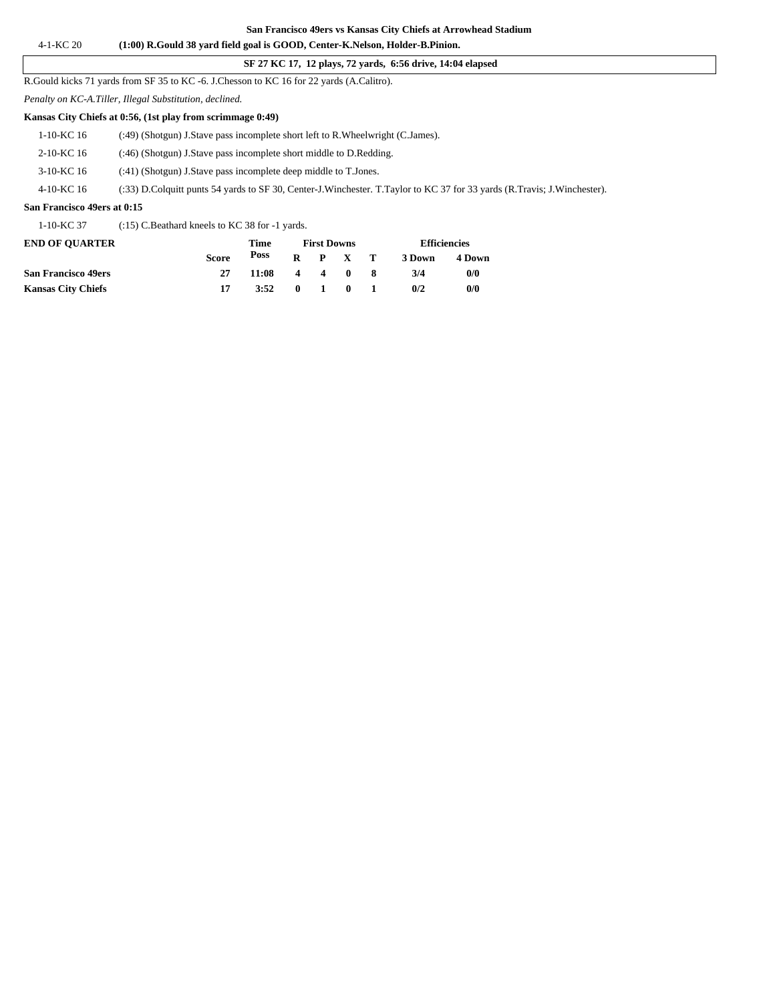### **SF 27 KC 17, 12 plays, 72 yards, 6:56 drive, 14:04 elapsed**

R.Gould kicks 71 yards from SF 35 to KC -6. J.Chesson to KC 16 for 22 yards (A.Calitro).

*Penalty on KC-A.Tiller, Illegal Substitution, declined.*

#### **Kansas City Chiefs at 0:56, (1st play from scrimmage 0:49)**

| San Francisco 49ers at 0:15 |                                                                                                                         |  |  |  |
|-----------------------------|-------------------------------------------------------------------------------------------------------------------------|--|--|--|
| 4-10-KC 16                  | (:33) D.Colquitt punts 54 yards to SF 30, Center-J.Winchester. T.Taylor to KC 37 for 33 yards (R.Travis: J.Winchester). |  |  |  |
| 3-10-KC 16                  | (:41) (Shotgun) J.Stave pass incomplete deep middle to T.Jones.                                                         |  |  |  |
| 2-10-KC 16                  | (:46) (Shotgun) J.Stave pass incomplete short middle to D.Redding.                                                      |  |  |  |
| $1-10-KC$ 16                | (:49) (Shotgun) J.Stave pass incomplete short left to R.Wheelwright (C.James).                                          |  |  |  |
|                             |                                                                                                                         |  |  |  |

1-10-KC 37 (:15) C.Beathard kneels to KC 38 for -1 yards.

| <b>END OF OUARTER</b>      |              | Time  | <b>First Downs</b>  |              |                 |  | <b>Efficiencies</b> |        |
|----------------------------|--------------|-------|---------------------|--------------|-----------------|--|---------------------|--------|
|                            | <b>Score</b> | Poss  |                     |              | $R$ $P$ $X$ $T$ |  | 3 Down              | 4 Down |
| <b>San Francisco 49ers</b> | 27           | 11:08 |                     |              | 4 4 0 8         |  | 3/4                 | 0/0    |
| <b>Kansas City Chiefs</b>  |              | 3:52  | $\bullet$ $\bullet$ | $\mathbf{1}$ | - 0             |  | 0/2                 | 0/0    |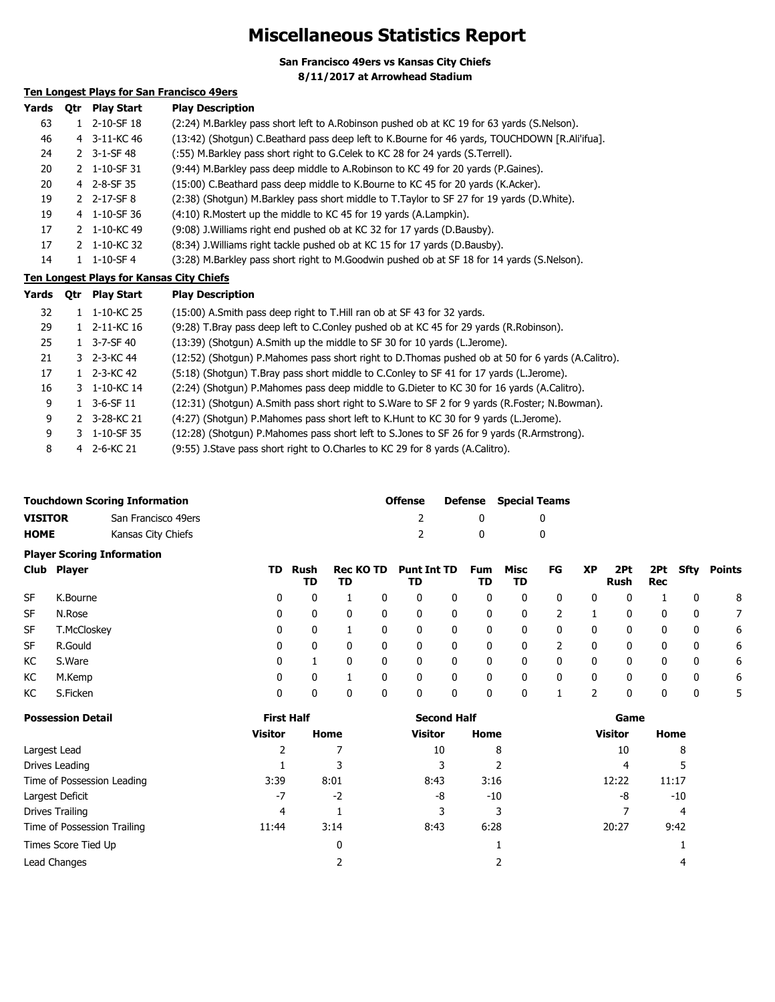# **Miscellaneous Statistics Report**

**San Francisco 49ers vs Kansas City Chiefs 8/11/2017 at Arrowhead Stadium**

## **Ten Longest Plays for San Francisco 49ers**

| Yards | Otr | <b>Play Start</b> | <b>Play Description</b>                                                                       |
|-------|-----|-------------------|-----------------------------------------------------------------------------------------------|
| 63    |     | 2-10-SF 18        | (2:24) M.Barkley pass short left to A.Robinson pushed ob at KC 19 for 63 yards (S.Nelson).    |
| 46    |     | 4 3-11-KC 46      | (13:42) (Shotgun) C.Beathard pass deep left to K.Bourne for 46 yards, TOUCHDOWN [R.Ali'ifua]. |
| 24    |     | 2 $3 - 1 - SF$ 48 | (:55) M.Barkley pass short right to G.Celek to KC 28 for 24 yards (S.Terrell).                |
| 20    |     | 2 1-10-SF 31      | (9:44) M.Barkley pass deep middle to A.Robinson to KC 49 for 20 yards (P.Gaines).             |
| 20    |     | 4 2-8-SF 35       | (15:00) C.Beathard pass deep middle to K.Bourne to KC 45 for 20 yards (K.Acker).              |
| 19    |     | 2 2-17-SF 8       | (2:38) (Shotgun) M.Barkley pass short middle to T.Taylor to SF 27 for 19 yards (D.White).     |
| 19    |     | 4 1-10-SF 36      | (4:10) R. Mostert up the middle to KC 45 for 19 yards (A. Lampkin).                           |
| 17    |     | 2 1-10-KC 49      | (9:08) J. Williams right end pushed ob at KC 32 for 17 yards (D. Bausby).                     |
| 17    |     | 2 1-10-KC 32      | (8:34) J. Williams right tackle pushed ob at KC 15 for 17 yards (D. Bausby).                  |
| 14    |     | $1 - 10 - SF - 4$ | (3:28) M.Barkley pass short right to M.Goodwin pushed ob at SF 18 for 14 yards (S.Nelson).    |

**Ten Longest Plays for Kansas City Chiefs**

| Yards | 0tr | Play Start        | <b>Play Description</b>                                                                           |
|-------|-----|-------------------|---------------------------------------------------------------------------------------------------|
| 32    |     | 1-10-KC 25        | (15:00) A.Smith pass deep right to T.Hill ran ob at SF 43 for 32 yards.                           |
| 29    |     | 2-11-KC 16        | (9:28) T.Bray pass deep left to C.Conley pushed ob at KC 45 for 29 yards (R.Robinson).            |
| 25    |     | $3 - 7 - SF$ 40   | (13:39) (Shotgun) A.Smith up the middle to SF 30 for 10 yards (L.Jerome).                         |
| 21    |     | 3 2-3-KC 44       | (12:52) (Shotgun) P.Mahomes pass short right to D.Thomas pushed ob at 50 for 6 yards (A.Calitro). |
| 17    |     | 1 $2 - 3 - KC$ 42 | (5:18) (Shotgun) T.Bray pass short middle to C.Conley to SF 41 for 17 yards (L.Jerome).           |
| 16    |     | 3 1-10-KC 14      | (2:24) (Shotgun) P.Mahomes pass deep middle to G.Dieter to KC 30 for 16 yards (A.Calitro).        |
| 9     |     | $3-6-SF$ 11       | (12:31) (Shotgun) A.Smith pass short right to S.Ware to SF 2 for 9 yards (R.Foster; N.Bowman).    |
| 9     |     | 2 3-28-KC 21      | (4:27) (Shotgun) P.Mahomes pass short left to K.Hunt to KC 30 for 9 yards (L.Jerome).             |
| 9     |     | 3 1-10-SF 35      | (12:28) (Shotgun) P.Mahomes pass short left to S.Jones to SF 26 for 9 yards (R.Armstrong).        |
| 8     |     | 4 2-6-KC 21       | (9:55) J.Stave pass short right to O.Charles to KC 29 for 8 yards (A.Calitro).                    |

|                | <b>Touchdown Scoring Information</b> | <b>Offense</b> | <b>Defense</b> Special Teams |
|----------------|--------------------------------------|----------------|------------------------------|
| <b>VISITOR</b> | San Francisco 49ers                  |                |                              |
| <b>HOME</b>    | Kansas City Chiefs                   |                |                              |

### **Player Scoring Information**

|           | Club Player | TD | Rush<br>TD | TD       |   | Rec KO TD Punt Int TD<br>TD |   | Fum<br>TD | Misc<br>TD     | FG | XP | 2Pt<br>Rush | Rec          |              | 2Pt Sfty Points |
|-----------|-------------|----|------------|----------|---|-----------------------------|---|-----------|----------------|----|----|-------------|--------------|--------------|-----------------|
| SF        | K.Bourne    | 0  | 0          |          | 0 | 0                           | 0 | 0         | 0              | 0  | 0  | 0           |              | $\Omega$     | 8               |
| <b>SF</b> | N.Rose      | 0  | 0          | 0        | 0 | 0                           | 0 | 0         | $\overline{0}$ | 2  |    | 0           | 0            | 0            |                 |
| SF        | T.McCloskey | 0  | 0          |          | 0 | 0                           | 0 | 0         | $\mathbf 0$    | 0  | 0  | 0           | 0            | $\mathbf{0}$ | 6               |
| SF        | R.Gould     | 0  | 0          | 0        | 0 | 0                           | 0 | 0         | $\Omega$       | 2  | 0  | 0           | $\mathbf{0}$ | 0            | 6               |
| KC        | S.Ware      | 0  |            | $\Omega$ | 0 | 0                           | 0 | 0         | 0              | 0  | 0  | 0           | 0            | 0            | -6              |
| КC        | M.Kemp      | 0  | 0          |          |   | 0                           | 0 | 0         | $\mathbf{0}$   | 0  | 0  | 0           | 0            | $\mathbf{0}$ | 6               |
| КC        | S.Ficken    | 0  |            | $\Omega$ |   | 0                           | 0 | 0         | $\mathbf{0}$   |    |    | 0           | 0            | $\mathbf{0}$ | 5               |

| <b>Possession Detail</b>    | <b>First Half</b> |      | <b>Second Half</b> |       | Game           |       |  |  |
|-----------------------------|-------------------|------|--------------------|-------|----------------|-------|--|--|
|                             | <b>Visitor</b>    | Home | Visitor            | Home  | <b>Visitor</b> | Home  |  |  |
| Largest Lead                |                   |      | 10                 | 8     | 10             | 8     |  |  |
| Drives Leading              |                   |      |                    |       | 4              | 5     |  |  |
| Time of Possession Leading  | 3:39              | 8:01 | 8:43               | 3:16  | 12:22          | 11:17 |  |  |
| Largest Deficit             | -7                | $-2$ | -8                 | $-10$ | -8             | $-10$ |  |  |
| Drives Trailing             | 4                 |      | 3                  |       |                | 4     |  |  |
| Time of Possession Trailing | 11:44             | 3:14 | 8:43               | 6:28  | 20:27          | 9:42  |  |  |
| Times Score Tied Up         |                   | 0    |                    |       |                |       |  |  |
| Lead Changes                |                   |      |                    |       |                | 4     |  |  |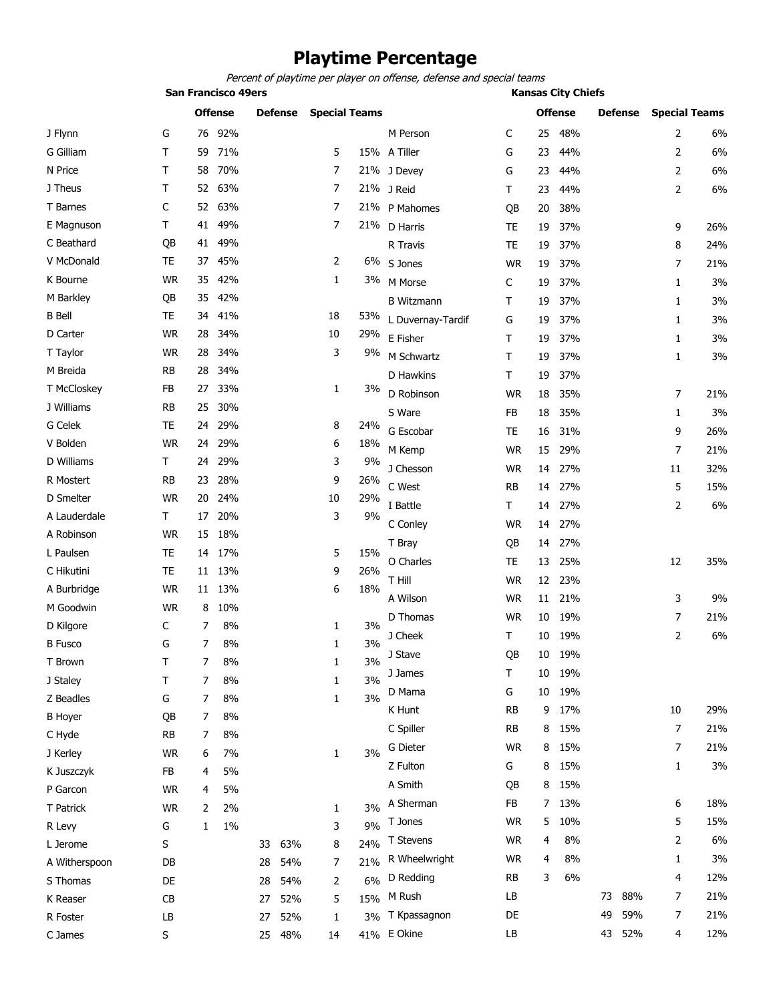## **Playtime Percentage**

*Percent of playtime per player on offense, defense and special teams*

|                | <b>San Francisco 49ers</b> |    |       |                |        |                      |     |                   | <b>Kansas City Chiefs</b> |    |     |                |     |                      |     |  |
|----------------|----------------------------|----|-------|----------------|--------|----------------------|-----|-------------------|---------------------------|----|-----|----------------|-----|----------------------|-----|--|
|                | <b>Offense</b>             |    |       | <b>Defense</b> |        | <b>Special Teams</b> |     |                   | <b>Offense</b>            |    |     | <b>Defense</b> |     | <b>Special Teams</b> |     |  |
| J Flynn        | G                          | 76 | 92%   |                |        |                      |     | M Person          | C                         | 25 | 48% |                |     | 2                    | 6%  |  |
| G Gilliam      | T                          | 59 | 71%   |                |        | 5                    |     | 15% A Tiller      | G                         | 23 | 44% |                |     | 2                    | 6%  |  |
| N Price        | T                          | 58 | 70%   |                |        | 7                    |     | 21% J Devey       | G                         | 23 | 44% |                |     | $\overline{2}$       | 6%  |  |
| J Theus        | Τ                          | 52 | 63%   |                |        | $\overline{7}$       |     | 21% J Reid        | Τ                         | 23 | 44% |                |     | $\overline{2}$       | 6%  |  |
| T Barnes       | С                          | 52 | 63%   |                |        | 7                    |     | 21% P Mahomes     | QB                        | 20 | 38% |                |     |                      |     |  |
| E Magnuson     | T                          | 41 | 49%   |                |        | $\overline{7}$       |     | 21% D Harris      | <b>TE</b>                 | 19 | 37% |                |     | 9                    | 26% |  |
| C Beathard     | QB                         | 41 | 49%   |                |        |                      |     | R Travis          | <b>TE</b>                 | 19 | 37% |                |     | 8                    | 24% |  |
| V McDonald     | TE                         | 37 | 45%   |                |        | 2                    |     | 6% S Jones        | <b>WR</b>                 | 19 | 37% |                |     | 7                    | 21% |  |
| K Bourne       | <b>WR</b>                  | 35 | 42%   |                |        | $\mathbf{1}$         | 3%  | M Morse           | C                         | 19 | 37% |                |     | 1                    | 3%  |  |
| M Barkley      | QB                         | 35 | 42%   |                |        |                      |     | <b>B</b> Witzmann | T                         | 19 | 37% |                |     | 1                    | 3%  |  |
| <b>B</b> Bell  | TE                         | 34 | 41%   |                |        | 18                   | 53% | L Duvernay-Tardif | G                         | 19 | 37% |                |     | 1                    | 3%  |  |
| D Carter       | <b>WR</b>                  | 28 | 34%   |                |        | 10                   | 29% | E Fisher          | T                         | 19 | 37% |                |     | 1                    | 3%  |  |
| T Taylor       | <b>WR</b>                  | 28 | 34%   |                |        | 3                    | 9%  | M Schwartz        | $\mathsf{T}$              | 19 | 37% |                |     | 1                    | 3%  |  |
| M Breida       | <b>RB</b>                  | 28 | 34%   |                |        |                      |     | D Hawkins         | $\mathsf T$               | 19 | 37% |                |     |                      |     |  |
| T McCloskey    | FB                         | 27 | 33%   |                |        | 1                    | 3%  | D Robinson        | <b>WR</b>                 | 18 | 35% |                |     | 7                    | 21% |  |
| J Williams     | <b>RB</b>                  | 25 | 30%   |                |        |                      |     | S Ware            | FB                        | 18 | 35% |                |     | $\mathbf{1}$         | 3%  |  |
| G Celek        | TE                         | 24 | 29%   |                |        | 8                    | 24% | G Escobar         | <b>TE</b>                 | 16 | 31% |                |     | 9                    | 26% |  |
| V Bolden       | <b>WR</b>                  | 24 | 29%   |                |        | 6                    | 18% | M Kemp            | <b>WR</b>                 | 15 | 29% |                |     | 7                    | 21% |  |
| D Williams     | Τ                          | 24 | 29%   |                |        | 3                    | 9%  | J Chesson         | <b>WR</b>                 | 14 | 27% |                |     | 11                   | 32% |  |
| R Mostert      | RB                         | 23 | 28%   |                |        | 9                    | 26% | C West            | RB                        | 14 | 27% |                |     | 5                    | 15% |  |
| D Smelter      | <b>WR</b>                  | 20 | 24%   |                |        | 10                   | 29% | I Battle          | $\mathsf T$               | 14 | 27% |                |     | $\overline{2}$       | 6%  |  |
| A Lauderdale   | T                          | 17 | 20%   |                |        | 3                    | 9%  | C Conley          | <b>WR</b>                 | 14 | 27% |                |     |                      |     |  |
| A Robinson     | <b>WR</b>                  | 15 | 18%   |                |        |                      |     | T Bray            | QB                        | 14 | 27% |                |     |                      |     |  |
| L Paulsen      | <b>TE</b>                  | 14 | 17%   |                |        | 5                    | 15% | O Charles         | TE                        | 13 | 25% |                |     | 12                   | 35% |  |
| C Hikutini     | <b>TE</b>                  | 11 | 13%   |                |        | 9                    | 26% | T Hill            | <b>WR</b>                 | 12 | 23% |                |     |                      |     |  |
| A Burbridge    | <b>WR</b>                  | 11 | 13%   |                |        | 6                    | 18% | A Wilson          | <b>WR</b>                 | 11 | 21% |                |     | 3                    | 9%  |  |
| M Goodwin      | <b>WR</b>                  | 8  | 10%   |                |        |                      |     | D Thomas          | <b>WR</b>                 | 10 | 19% |                |     | 7                    | 21% |  |
| D Kilgore      | C                          | 7  | 8%    |                |        | 1                    | 3%  |                   | T                         |    | 19% |                |     | 2                    | 6%  |  |
| <b>B</b> Fusco | G                          | 7  | 8%    |                |        | 1                    | 3%  | J Cheek           |                           | 10 |     |                |     |                      |     |  |
| T Brown        | Τ                          | 7  | 8%    |                |        | 1                    | 3%  | J Stave           | QΒ                        | 10 | 19% |                |     |                      |     |  |
| J Staley       | Τ                          | 7  | 8%    |                |        | 1                    | 3%  | J James           | $\mathsf{T}$              | 10 | 19% |                |     |                      |     |  |
| Z Beadles      | G                          | 7  | 8%    |                |        | 1                    | 3%  | D Mama            | G                         | 10 | 19% |                |     |                      |     |  |
| <b>B</b> Hoyer | QB                         | 7  | 8%    |                |        |                      |     | K Hunt            | <b>RB</b>                 | 9  | 17% |                |     | 10                   | 29% |  |
| C Hyde         | <b>RB</b>                  | 7  | 8%    |                |        |                      |     | C Spiller         | <b>RB</b>                 | 8  | 15% |                |     | $\overline{7}$       | 21% |  |
| J Kerley       | <b>WR</b>                  | 6  | 7%    |                |        | 1                    | 3%  | G Dieter          | <b>WR</b>                 | 8  | 15% |                |     | 7                    | 21% |  |
| K Juszczyk     | FB                         | 4  | 5%    |                |        |                      |     | Z Fulton          | G                         | 8  | 15% |                |     | 1                    | 3%  |  |
| P Garcon       | <b>WR</b>                  | 4  | 5%    |                |        |                      |     | A Smith           | QB                        | 8  | 15% |                |     |                      |     |  |
| T Patrick      | <b>WR</b>                  | 2  | 2%    |                |        | 1                    | 3%  | A Sherman         | FB                        | 7  | 13% |                |     | 6                    | 18% |  |
| R Levy         | G                          | 1  | $1\%$ |                |        | 3                    | 9%  | T Jones           | <b>WR</b>                 | 5  | 10% |                |     | 5                    | 15% |  |
| L Jerome       | S                          |    |       | 33             | 63%    | 8                    | 24% | T Stevens         | <b>WR</b>                 | 4  | 8%  |                |     | 2                    | 6%  |  |
| A Witherspoon  | DB                         |    |       | 28             | 54%    | 7                    | 21% | R Wheelwright     | <b>WR</b>                 | 4  | 8%  |                |     | 1                    | 3%  |  |
| S Thomas       | DE                         |    |       | 28             | 54%    | 2                    | 6%  | D Redding         | <b>RB</b>                 | 3  | 6%  |                |     | 4                    | 12% |  |
| K Reaser       | CB                         |    |       | 27             | 52%    | 5                    | 15% | M Rush            | LB                        |    |     | 73             | 88% | 7                    | 21% |  |
| R Foster       | LB                         |    |       | 27             | 52%    | 1                    | 3%  | T Kpassagnon      | DE                        |    |     | 49             | 59% | 7                    | 21% |  |
| C James        | S                          |    |       |                | 25 48% | 14                   |     | 41% E Okine       | LB                        |    |     | 43             | 52% | 4                    | 12% |  |